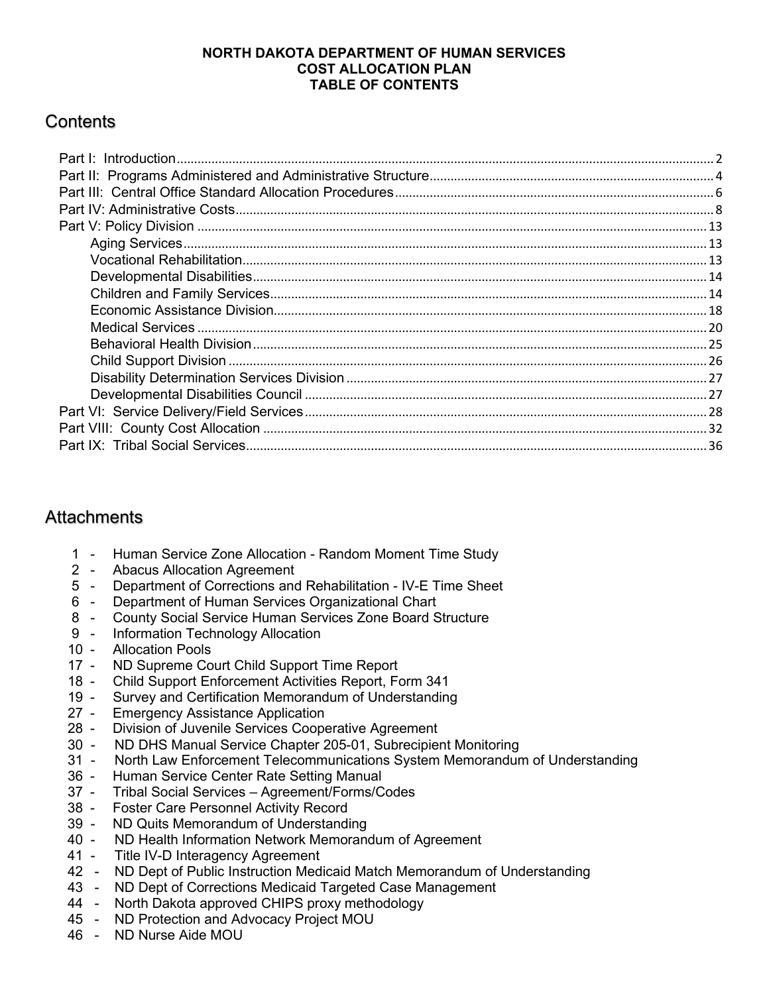# **NORTH DAKOTA DEPARTMENT OF HUMAN SERVICES COST ALLOCATION PLAN TABLE OF CONTENTS**

# **Contents**

# **Attachments**

- 1 Human Service Zone Allocation Random Moment Time Study
- Abacus Allocation Agreement
- 5 Department of Corrections and Rehabilitation IV-E Time Sheet<br>6 Department of Human Services Organizational Chart
- Department of Human Services Organizational Chart
- 8 County Social Service Human Services Zone Board Structure
- 9 Information Technology Allocation
- 10 Allocation Pools
- 17 ND Supreme Court Child Support Time Report
- 18 Child Support Enforcement Activities Report, Form 341
- 19 Survey and Certification Memorandum of Understanding
- 27 Emergency Assistance Application<br>28 Division of Juvenile Services Coope
- Division of Juvenile Services Cooperative Agreement
- 30 ND DHS Manual Service Chapter 205-01, Subrecipient Monitoring
- 31 North Law Enforcement Telecommunications System Memorandum of Understanding
- 36 Human Service Center Rate Setting Manual
- 37 Tribal Social Services Agreement/Forms/Codes
- 38 Foster Care Personnel Activity Record
- ND Quits Memorandum of Understanding
- 40 ND Health Information Network Memorandum of Agreement
- 41 Title IV-D Interagency Agreement
- 42 ND Dept of Public Instruction Medicaid Match Memorandum of Understanding
- 43 ND Dept of Corrections Medicaid Targeted Case Management
- 44 North Dakota approved CHIPS proxy methodology
- 45 ND Protection and Advocacy Project MOU
- 46 ND Nurse Aide MOU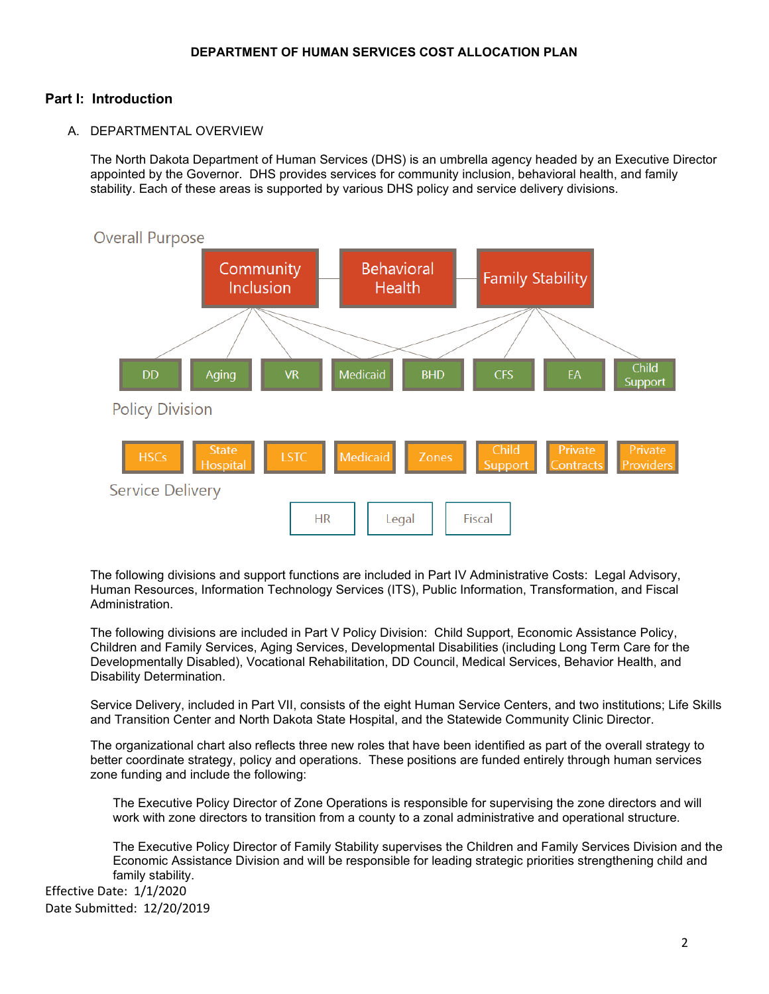# <span id="page-1-0"></span>**Part I: Introduction**

A. DEPARTMENTAL OVERVIEW

The North Dakota Department of Human Services (DHS) is an umbrella agency headed by an Executive Director appointed by the Governor. DHS provides services for community inclusion, behavioral health, and family stability. Each of these areas is supported by various DHS policy and service delivery divisions.



The following divisions and support functions are included in Part IV Administrative Costs: Legal Advisory, Human Resources, Information Technology Services (ITS), Public Information, Transformation, and Fiscal Administration.

The following divisions are included in Part V Policy Division: Child Support, Economic Assistance Policy, Children and Family Services, Aging Services, Developmental Disabilities (including Long Term Care for the Developmentally Disabled), Vocational Rehabilitation, DD Council, Medical Services, Behavior Health, and Disability Determination.

Service Delivery, included in Part VII, consists of the eight Human Service Centers, and two institutions; Life Skills and Transition Center and North Dakota State Hospital, and the Statewide Community Clinic Director.

The organizational chart also reflects three new roles that have been identified as part of the overall strategy to better coordinate strategy, policy and operations. These positions are funded entirely through human services zone funding and include the following:

The Executive Policy Director of Zone Operations is responsible for supervising the zone directors and will work with zone directors to transition from a county to a zonal administrative and operational structure.

The Executive Policy Director of Family Stability supervises the Children and Family Services Division and the Economic Assistance Division and will be responsible for leading strategic priorities strengthening child and family stability.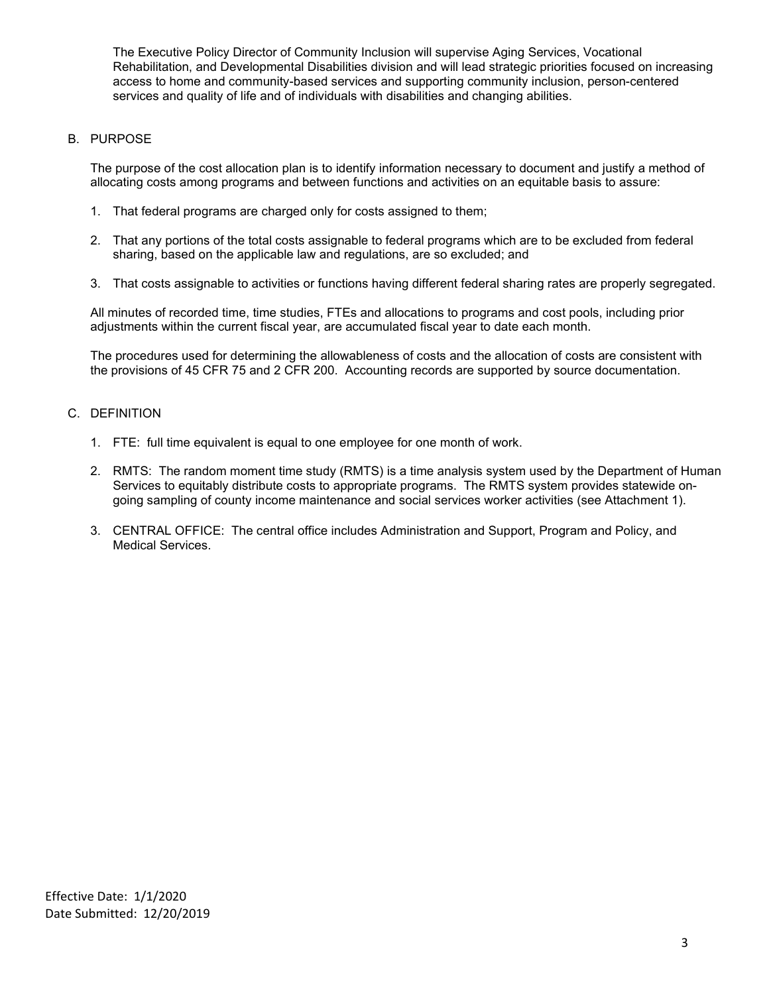The Executive Policy Director of Community Inclusion will supervise Aging Services, Vocational Rehabilitation, and Developmental Disabilities division and will lead strategic priorities focused on increasing access to home and community-based services and supporting community inclusion, person-centered services and quality of life and of individuals with disabilities and changing abilities.

## B. PURPOSE

The purpose of the cost allocation plan is to identify information necessary to document and justify a method of allocating costs among programs and between functions and activities on an equitable basis to assure:

- 1. That federal programs are charged only for costs assigned to them;
- 2. That any portions of the total costs assignable to federal programs which are to be excluded from federal sharing, based on the applicable law and regulations, are so excluded; and
- 3. That costs assignable to activities or functions having different federal sharing rates are properly segregated.

All minutes of recorded time, time studies, FTEs and allocations to programs and cost pools, including prior adjustments within the current fiscal year, are accumulated fiscal year to date each month.

The procedures used for determining the allowableness of costs and the allocation of costs are consistent with the provisions of 45 CFR 75 and 2 CFR 200. Accounting records are supported by source documentation.

## C. DEFINITION

- 1. FTE: full time equivalent is equal to one employee for one month of work.
- 2. RMTS: The random moment time study (RMTS) is a time analysis system used by the Department of Human Services to equitably distribute costs to appropriate programs. The RMTS system provides statewide ongoing sampling of county income maintenance and social services worker activities (see Attachment 1).
- 3. CENTRAL OFFICE: The central office includes Administration and Support, Program and Policy, and Medical Services.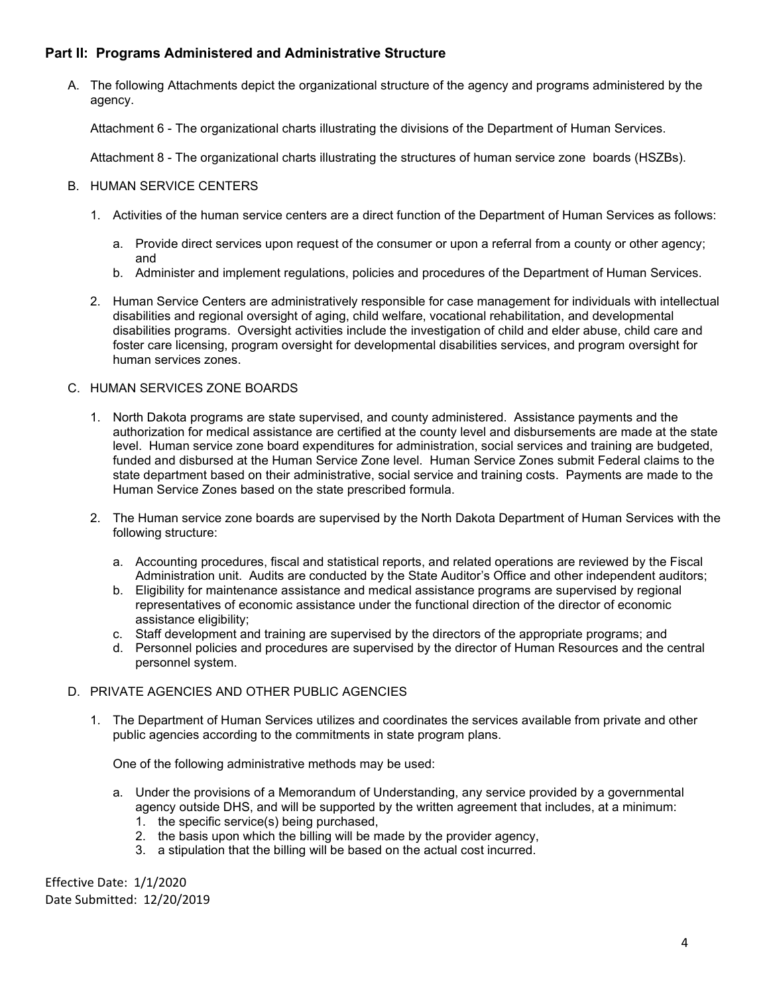# <span id="page-3-0"></span>**Part II: Programs Administered and Administrative Structure**

A. The following Attachments depict the organizational structure of the agency and programs administered by the agency.

Attachment 6 - The organizational charts illustrating the divisions of the Department of Human Services.

Attachment 8 - The organizational charts illustrating the structures of human service zone boards (HSZBs).

# B. HUMAN SERVICE CENTERS

- 1. Activities of the human service centers are a direct function of the Department of Human Services as follows:
	- a. Provide direct services upon request of the consumer or upon a referral from a county or other agency; and
	- b. Administer and implement regulations, policies and procedures of the Department of Human Services.
- 2. Human Service Centers are administratively responsible for case management for individuals with intellectual disabilities and regional oversight of aging, child welfare, vocational rehabilitation, and developmental disabilities programs. Oversight activities include the investigation of child and elder abuse, child care and foster care licensing, program oversight for developmental disabilities services, and program oversight for human services zones.

## C. HUMAN SERVICES ZONE BOARDS

- 1. North Dakota programs are state supervised, and county administered. Assistance payments and the authorization for medical assistance are certified at the county level and disbursements are made at the state level. Human service zone board expenditures for administration, social services and training are budgeted, funded and disbursed at the Human Service Zone level. Human Service Zones submit Federal claims to the state department based on their administrative, social service and training costs. Payments are made to the Human Service Zones based on the state prescribed formula.
- 2. The Human service zone boards are supervised by the North Dakota Department of Human Services with the following structure:
	- a. Accounting procedures, fiscal and statistical reports, and related operations are reviewed by the Fiscal Administration unit. Audits are conducted by the State Auditor's Office and other independent auditors;
	- b. Eligibility for maintenance assistance and medical assistance programs are supervised by regional representatives of economic assistance under the functional direction of the director of economic assistance eligibility;
	- c. Staff development and training are supervised by the directors of the appropriate programs; and
	- d. Personnel policies and procedures are supervised by the director of Human Resources and the central personnel system.

## D. PRIVATE AGENCIES AND OTHER PUBLIC AGENCIES

1. The Department of Human Services utilizes and coordinates the services available from private and other public agencies according to the commitments in state program plans.

One of the following administrative methods may be used:

- a. Under the provisions of a Memorandum of Understanding, any service provided by a governmental agency outside DHS, and will be supported by the written agreement that includes, at a minimum:
	- 1. the specific service(s) being purchased,
	- 2. the basis upon which the billing will be made by the provider agency,
	- 3. a stipulation that the billing will be based on the actual cost incurred.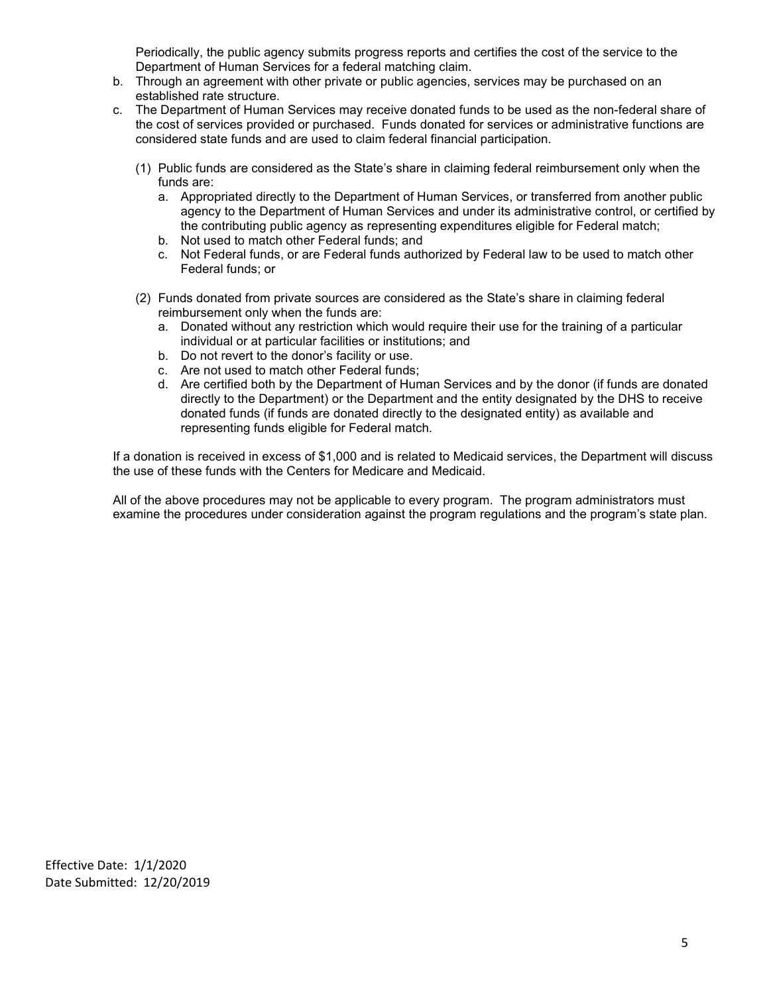Periodically, the public agency submits progress reports and certifies the cost of the service to the Department of Human Services for a federal matching claim.

- b. Through an agreement with other private or public agencies, services may be purchased on an established rate structure.
- c. The Department of Human Services may receive donated funds to be used as the non-federal share of the cost of services provided or purchased. Funds donated for services or administrative functions are considered state funds and are used to claim federal financial participation.
	- (1) Public funds are considered as the State's share in claiming federal reimbursement only when the funds are:
		- a. Appropriated directly to the Department of Human Services, or transferred from another public agency to the Department of Human Services and under its administrative control, or certified by the contributing public agency as representing expenditures eligible for Federal match;
		- b. Not used to match other Federal funds; and
		- c. Not Federal funds, or are Federal funds authorized by Federal law to be used to match other Federal funds; or
	- (2) Funds donated from private sources are considered as the State's share in claiming federal reimbursement only when the funds are:
		- a. Donated without any restriction which would require their use for the training of a particular individual or at particular facilities or institutions; and
		- b. Do not revert to the donor's facility or use.
		- c. Are not used to match other Federal funds;
		- d. Are certified both by the Department of Human Services and by the donor (if funds are donated directly to the Department) or the Department and the entity designated by the DHS to receive donated funds (if funds are donated directly to the designated entity) as available and representing funds eligible for Federal match.

If a donation is received in excess of \$1,000 and is related to Medicaid services, the Department will discuss the use of these funds with the Centers for Medicare and Medicaid.

All of the above procedures may not be applicable to every program. The program administrators must examine the procedures under consideration against the program regulations and the program's state plan.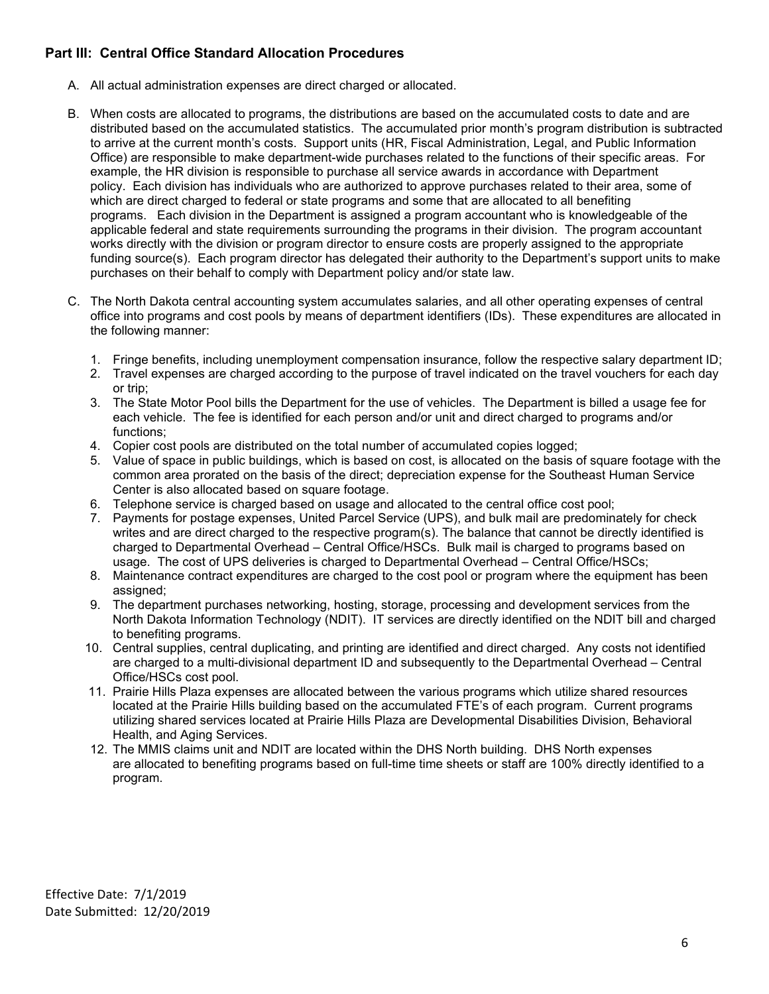# <span id="page-5-0"></span>**Part III: Central Office Standard Allocation Procedures**

- A. All actual administration expenses are direct charged or allocated.
- B. When costs are allocated to programs, the distributions are based on the accumulated costs to date and are distributed based on the accumulated statistics. The accumulated prior month's program distribution is subtracted to arrive at the current month's costs. Support units (HR, Fiscal Administration, Legal, and Public Information Office) are responsible to make department-wide purchases related to the functions of their specific areas. For example, the HR division is responsible to purchase all service awards in accordance with Department policy. Each division has individuals who are authorized to approve purchases related to their area, some of which are direct charged to federal or state programs and some that are allocated to all benefiting programs. Each division in the Department is assigned a program accountant who is knowledgeable of the applicable federal and state requirements surrounding the programs in their division. The program accountant works directly with the division or program director to ensure costs are properly assigned to the appropriate funding source(s). Each program director has delegated their authority to the Department's support units to make purchases on their behalf to comply with Department policy and/or state law.
- C. The North Dakota central accounting system accumulates salaries, and all other operating expenses of central office into programs and cost pools by means of department identifiers (IDs). These expenditures are allocated in the following manner:
	- 1. Fringe benefits, including unemployment compensation insurance, follow the respective salary department ID;
	- 2. Travel expenses are charged according to the purpose of travel indicated on the travel vouchers for each day or trip;
	- 3. The State Motor Pool bills the Department for the use of vehicles. The Department is billed a usage fee for each vehicle. The fee is identified for each person and/or unit and direct charged to programs and/or functions:
	- 4. Copier cost pools are distributed on the total number of accumulated copies logged;
	- 5. Value of space in public buildings, which is based on cost, is allocated on the basis of square footage with the common area prorated on the basis of the direct; depreciation expense for the Southeast Human Service Center is also allocated based on square footage.
	- 6. Telephone service is charged based on usage and allocated to the central office cost pool;
	- 7. Payments for postage expenses, United Parcel Service (UPS), and bulk mail are predominately for check writes and are direct charged to the respective program(s). The balance that cannot be directly identified is charged to Departmental Overhead – Central Office/HSCs. Bulk mail is charged to programs based on usage. The cost of UPS deliveries is charged to Departmental Overhead – Central Office/HSCs;
	- 8. Maintenance contract expenditures are charged to the cost pool or program where the equipment has been assigned:
	- 9. The department purchases networking, hosting, storage, processing and development services from the North Dakota Information Technology (NDIT). IT services are directly identified on the NDIT bill and charged to benefiting programs.
	- 10. Central supplies, central duplicating, and printing are identified and direct charged. Any costs not identified are charged to a multi-divisional department ID and subsequently to the Departmental Overhead – Central Office/HSCs cost pool.
	- 11. Prairie Hills Plaza expenses are allocated between the various programs which utilize shared resources located at the Prairie Hills building based on the accumulated FTE's of each program. Current programs utilizing shared services located at Prairie Hills Plaza are Developmental Disabilities Division, Behavioral Health, and Aging Services.
	- 12. The MMIS claims unit and NDIT are located within the DHS North building. DHS North expenses are allocated to benefiting programs based on full-time time sheets or staff are 100% directly identified to a program.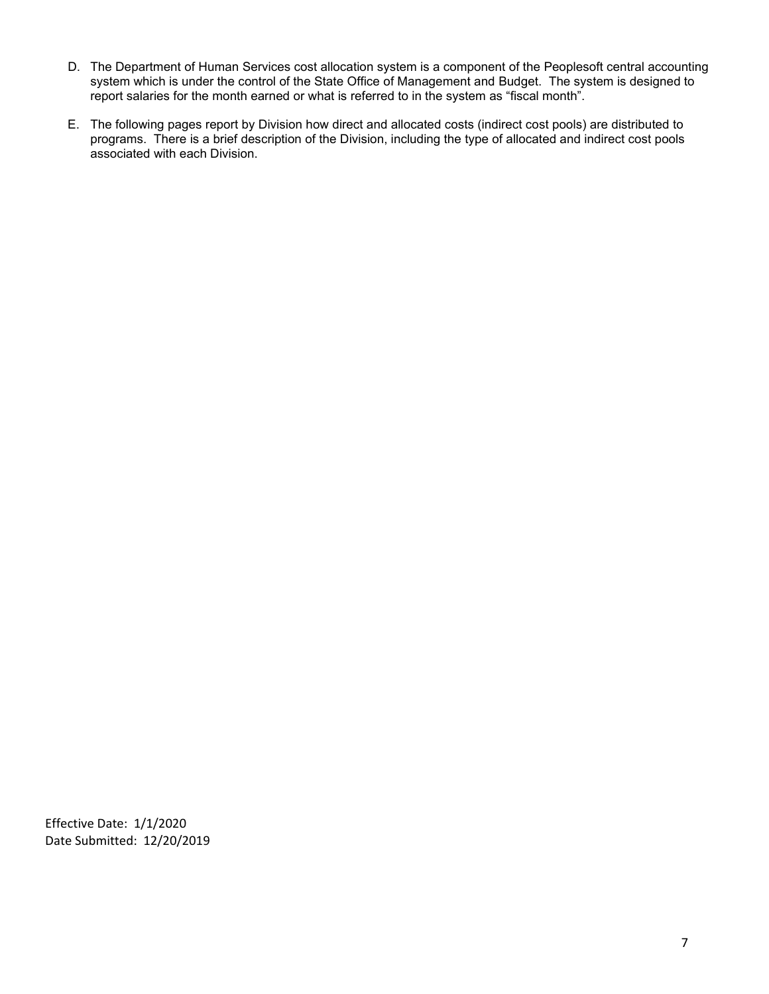- D. The Department of Human Services cost allocation system is a component of the Peoplesoft central accounting system which is under the control of the State Office of Management and Budget. The system is designed to report salaries for the month earned or what is referred to in the system as "fiscal month".
- E. The following pages report by Division how direct and allocated costs (indirect cost pools) are distributed to programs. There is a brief description of the Division, including the type of allocated and indirect cost pools associated with each Division.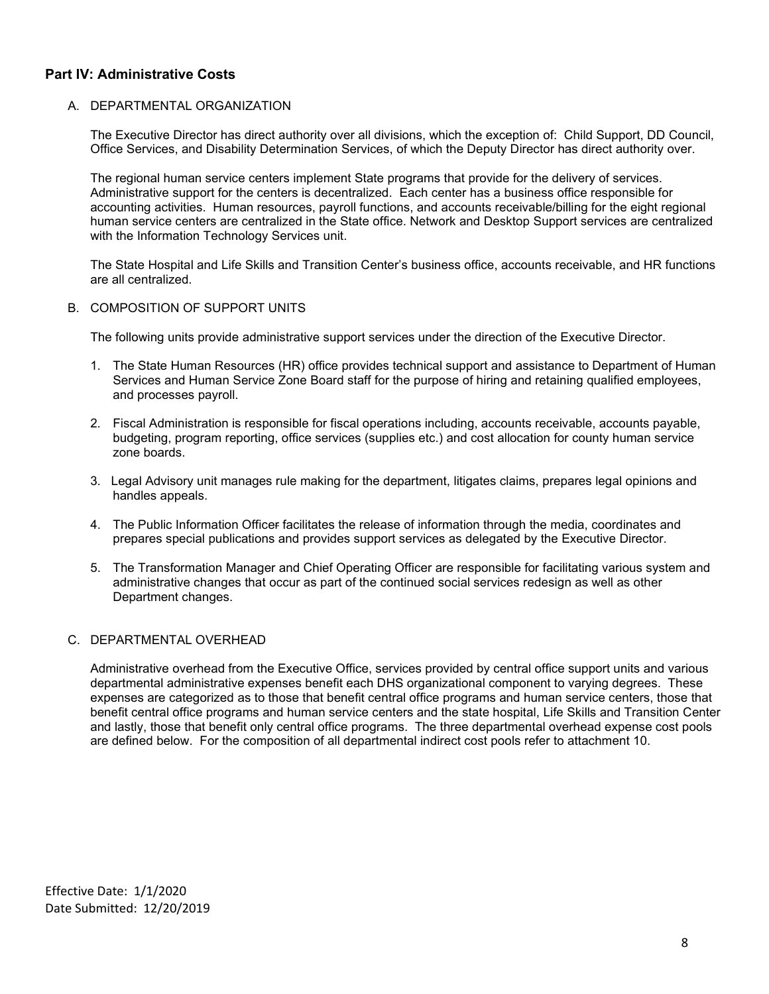## <span id="page-7-0"></span>**Part IV: Administrative Costs**

### A. DEPARTMENTAL ORGANIZATION

The Executive Director has direct authority over all divisions, which the exception of: Child Support, DD Council, Office Services, and Disability Determination Services, of which the Deputy Director has direct authority over.

The regional human service centers implement State programs that provide for the delivery of services. Administrative support for the centers is decentralized. Each center has a business office responsible for accounting activities. Human resources, payroll functions, and accounts receivable/billing for the eight regional human service centers are centralized in the State office. Network and Desktop Support services are centralized with the Information Technology Services unit.

The State Hospital and Life Skills and Transition Center's business office, accounts receivable, and HR functions are all centralized.

B. COMPOSITION OF SUPPORT UNITS

The following units provide administrative support services under the direction of the Executive Director.

- 1. The State Human Resources (HR) office provides technical support and assistance to Department of Human Services and Human Service Zone Board staff for the purpose of hiring and retaining qualified employees, and processes payroll.
- 2. Fiscal Administration is responsible for fiscal operations including, accounts receivable, accounts payable, budgeting, program reporting, office services (supplies etc.) and cost allocation for county human service zone boards.
- 3. Legal Advisory unit manages rule making for the department, litigates claims, prepares legal opinions and handles appeals.
- 4. The Public Information Officer facilitates the release of information through the media, coordinates and prepares special publications and provides support services as delegated by the Executive Director.
- 5. The Transformation Manager and Chief Operating Officer are responsible for facilitating various system and administrative changes that occur as part of the continued social services redesign as well as other Department changes.

#### C. DEPARTMENTAL OVERHEAD

Administrative overhead from the Executive Office, services provided by central office support units and various departmental administrative expenses benefit each DHS organizational component to varying degrees. These expenses are categorized as to those that benefit central office programs and human service centers, those that benefit central office programs and human service centers and the state hospital, Life Skills and Transition Center and lastly, those that benefit only central office programs. The three departmental overhead expense cost pools are defined below. For the composition of all departmental indirect cost pools refer to attachment 10.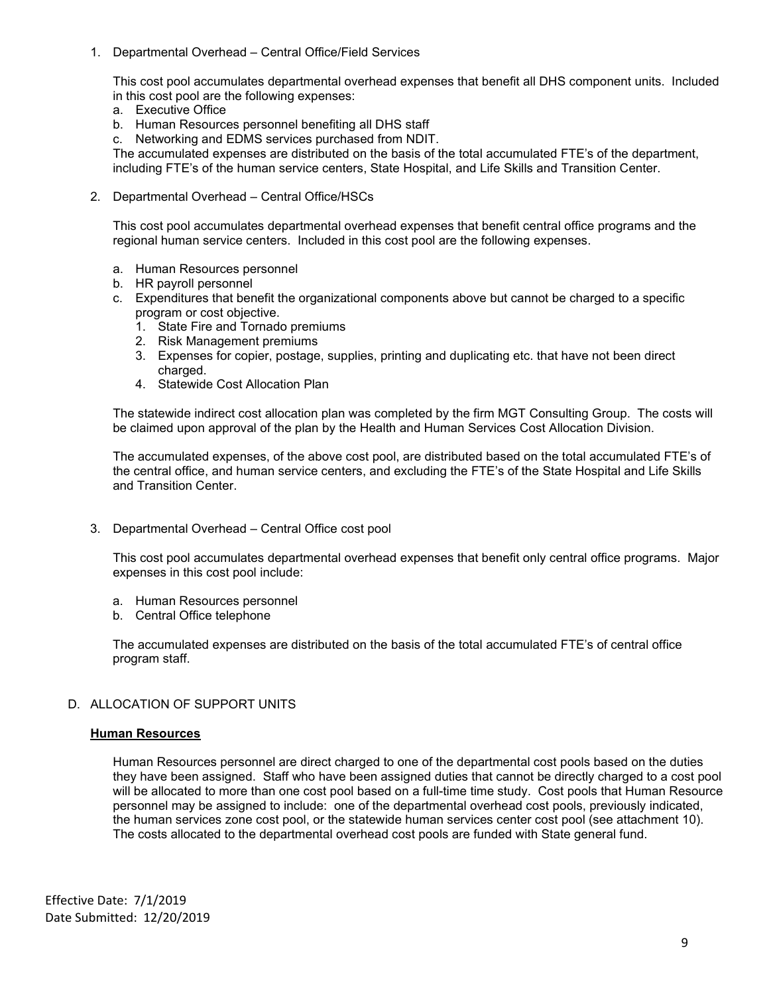1. Departmental Overhead – Central Office/Field Services

This cost pool accumulates departmental overhead expenses that benefit all DHS component units. Included in this cost pool are the following expenses:

- a. Executive Office
- b. Human Resources personnel benefiting all DHS staff
- c. Networking and EDMS services purchased from NDIT.

The accumulated expenses are distributed on the basis of the total accumulated FTE's of the department, including FTE's of the human service centers, State Hospital, and Life Skills and Transition Center.

2. Departmental Overhead – Central Office/HSCs

This cost pool accumulates departmental overhead expenses that benefit central office programs and the regional human service centers. Included in this cost pool are the following expenses.

- a. Human Resources personnel
- b. HR payroll personnel
- c. Expenditures that benefit the organizational components above but cannot be charged to a specific program or cost objective.
	- 1. State Fire and Tornado premiums
	- 2. Risk Management premiums
	- 3. Expenses for copier, postage, supplies, printing and duplicating etc. that have not been direct charged.
	- 4. Statewide Cost Allocation Plan

The statewide indirect cost allocation plan was completed by the firm MGT Consulting Group. The costs will be claimed upon approval of the plan by the Health and Human Services Cost Allocation Division.

The accumulated expenses, of the above cost pool, are distributed based on the total accumulated FTE's of the central office, and human service centers, and excluding the FTE's of the State Hospital and Life Skills and Transition Center.

3. Departmental Overhead – Central Office cost pool

This cost pool accumulates departmental overhead expenses that benefit only central office programs. Major expenses in this cost pool include:

- a. Human Resources personnel
- b. Central Office telephone

The accumulated expenses are distributed on the basis of the total accumulated FTE's of central office program staff.

### D. ALLOCATION OF SUPPORT UNITS

### **Human Resources**

Human Resources personnel are direct charged to one of the departmental cost pools based on the duties they have been assigned. Staff who have been assigned duties that cannot be directly charged to a cost pool will be allocated to more than one cost pool based on a full-time time study. Cost pools that Human Resource personnel may be assigned to include: one of the departmental overhead cost pools, previously indicated, the human services zone cost pool, or the statewide human services center cost pool (see attachment 10). The costs allocated to the departmental overhead cost pools are funded with State general fund.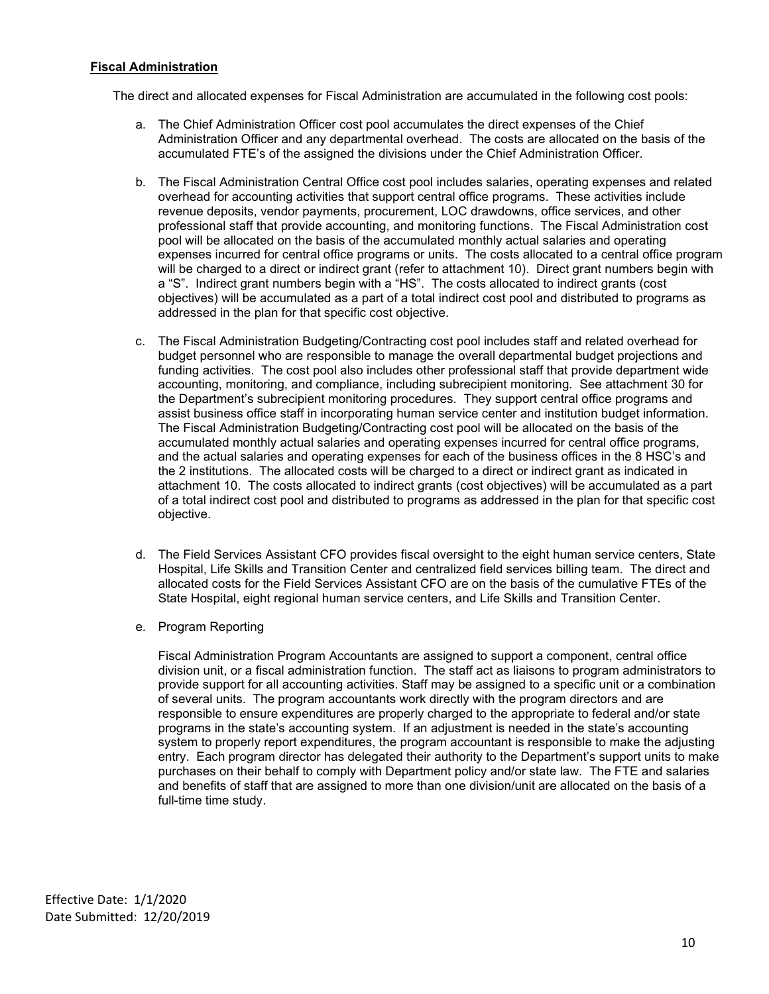## **Fiscal Administration**

The direct and allocated expenses for Fiscal Administration are accumulated in the following cost pools:

- a. The Chief Administration Officer cost pool accumulates the direct expenses of the Chief Administration Officer and any departmental overhead. The costs are allocated on the basis of the accumulated FTE's of the assigned the divisions under the Chief Administration Officer.
- b. The Fiscal Administration Central Office cost pool includes salaries, operating expenses and related overhead for accounting activities that support central office programs. These activities include revenue deposits, vendor payments, procurement, LOC drawdowns, office services, and other professional staff that provide accounting, and monitoring functions. The Fiscal Administration cost pool will be allocated on the basis of the accumulated monthly actual salaries and operating expenses incurred for central office programs or units. The costs allocated to a central office program will be charged to a direct or indirect grant (refer to attachment 10). Direct grant numbers begin with a "S". Indirect grant numbers begin with a "HS". The costs allocated to indirect grants (cost objectives) will be accumulated as a part of a total indirect cost pool and distributed to programs as addressed in the plan for that specific cost objective.
- c. The Fiscal Administration Budgeting/Contracting cost pool includes staff and related overhead for budget personnel who are responsible to manage the overall departmental budget projections and funding activities. The cost pool also includes other professional staff that provide department wide accounting, monitoring, and compliance, including subrecipient monitoring. See attachment 30 for the Department's subrecipient monitoring procedures. They support central office programs and assist business office staff in incorporating human service center and institution budget information. The Fiscal Administration Budgeting/Contracting cost pool will be allocated on the basis of the accumulated monthly actual salaries and operating expenses incurred for central office programs, and the actual salaries and operating expenses for each of the business offices in the 8 HSC's and the 2 institutions. The allocated costs will be charged to a direct or indirect grant as indicated in attachment 10. The costs allocated to indirect grants (cost objectives) will be accumulated as a part of a total indirect cost pool and distributed to programs as addressed in the plan for that specific cost objective.
- d. The Field Services Assistant CFO provides fiscal oversight to the eight human service centers, State Hospital, Life Skills and Transition Center and centralized field services billing team. The direct and allocated costs for the Field Services Assistant CFO are on the basis of the cumulative FTEs of the State Hospital, eight regional human service centers, and Life Skills and Transition Center.
- e. Program Reporting

Fiscal Administration Program Accountants are assigned to support a component, central office division unit, or a fiscal administration function. The staff act as liaisons to program administrators to provide support for all accounting activities. Staff may be assigned to a specific unit or a combination of several units. The program accountants work directly with the program directors and are responsible to ensure expenditures are properly charged to the appropriate to federal and/or state programs in the state's accounting system. If an adjustment is needed in the state's accounting system to properly report expenditures, the program accountant is responsible to make the adjusting entry. Each program director has delegated their authority to the Department's support units to make purchases on their behalf to comply with Department policy and/or state law. The FTE and salaries and benefits of staff that are assigned to more than one division/unit are allocated on the basis of a full-time time study.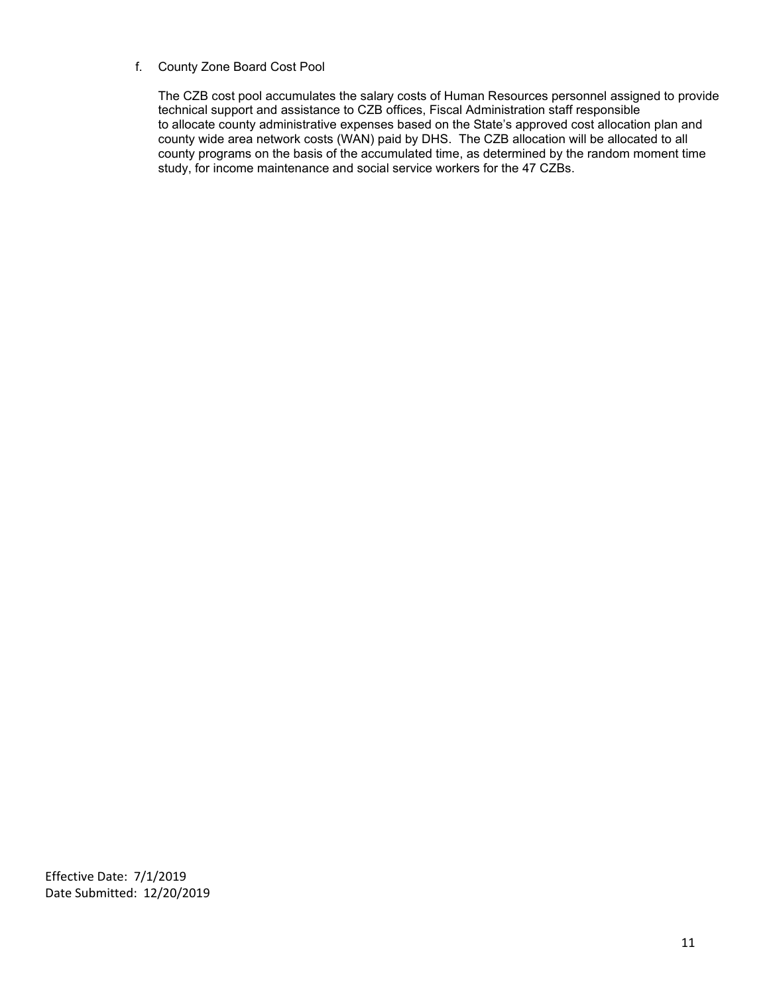#### f. County Zone Board Cost Pool

The CZB cost pool accumulates the salary costs of Human Resources personnel assigned to provide technical support and assistance to CZB offices, Fiscal Administration staff responsible to allocate county administrative expenses based on the State's approved cost allocation plan and county wide area network costs (WAN) paid by DHS. The CZB allocation will be allocated to all county programs on the basis of the accumulated time, as determined by the random moment time study, for income maintenance and social service workers for the 47 CZBs.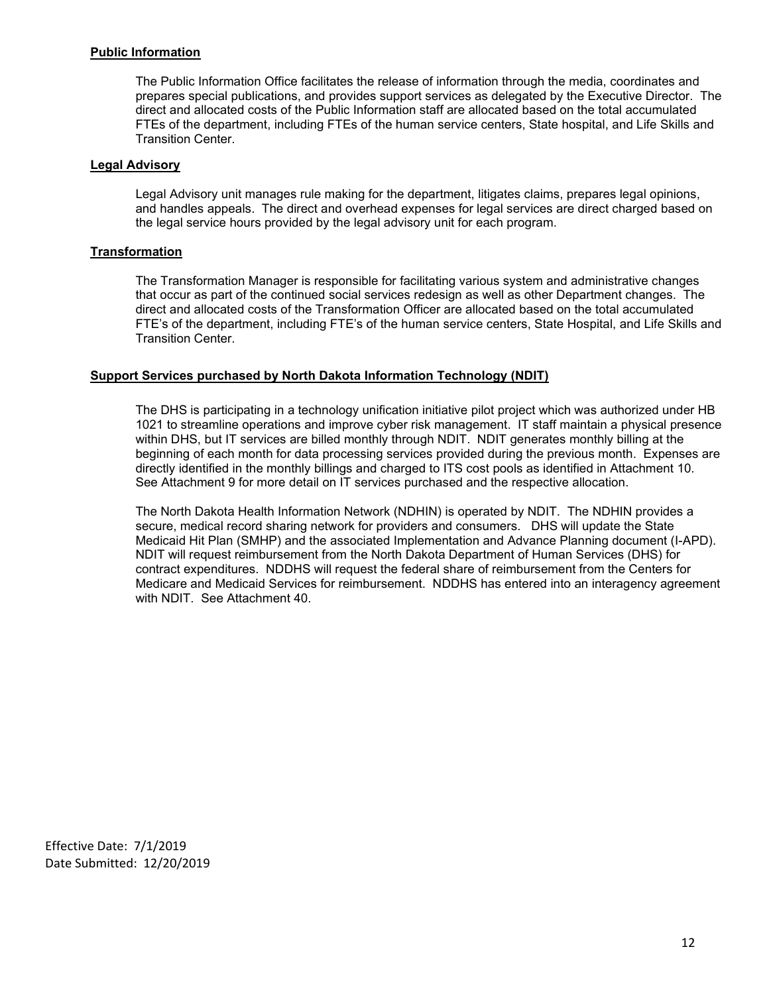## **Public Information**

The Public Information Office facilitates the release of information through the media, coordinates and prepares special publications, and provides support services as delegated by the Executive Director. The direct and allocated costs of the Public Information staff are allocated based on the total accumulated FTEs of the department, including FTEs of the human service centers, State hospital, and Life Skills and Transition Center.

#### **Legal Advisory**

Legal Advisory unit manages rule making for the department, litigates claims, prepares legal opinions, and handles appeals. The direct and overhead expenses for legal services are direct charged based on the legal service hours provided by the legal advisory unit for each program.

## **Transformation**

The Transformation Manager is responsible for facilitating various system and administrative changes that occur as part of the continued social services redesign as well as other Department changes. The direct and allocated costs of the Transformation Officer are allocated based on the total accumulated FTE's of the department, including FTE's of the human service centers, State Hospital, and Life Skills and Transition Center.

## **Support Services purchased by North Dakota Information Technology (NDIT)**

The DHS is participating in a technology unification initiative pilot project which was authorized under HB 1021 to streamline operations and improve cyber risk management. IT staff maintain a physical presence within DHS, but IT services are billed monthly through NDIT. NDIT generates monthly billing at the beginning of each month for data processing services provided during the previous month. Expenses are directly identified in the monthly billings and charged to ITS cost pools as identified in Attachment 10. See Attachment 9 for more detail on IT services purchased and the respective allocation.

The North Dakota Health Information Network (NDHIN) is operated by NDIT. The NDHIN provides a secure, medical record sharing network for providers and consumers. DHS will update the State Medicaid Hit Plan (SMHP) and the associated Implementation and Advance Planning document (I-APD). NDIT will request reimbursement from the North Dakota Department of Human Services (DHS) for contract expenditures. NDDHS will request the federal share of reimbursement from the Centers for Medicare and Medicaid Services for reimbursement. NDDHS has entered into an interagency agreement with NDIT. See Attachment 40.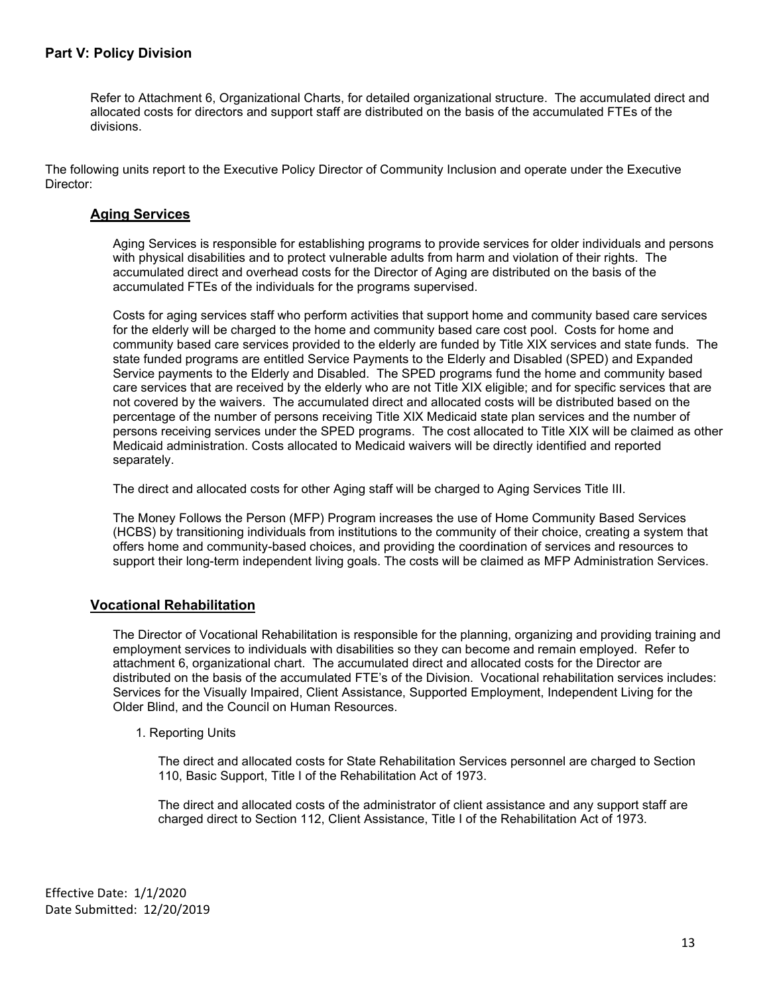# <span id="page-12-0"></span>**Part V: Policy Division**

Refer to Attachment 6, Organizational Charts, for detailed organizational structure. The accumulated direct and allocated costs for directors and support staff are distributed on the basis of the accumulated FTEs of the divisions.

The following units report to the Executive Policy Director of Community Inclusion and operate under the Executive Director:

## <span id="page-12-1"></span>**Aging Services**

Aging Services is responsible for establishing programs to provide services for older individuals and persons with physical disabilities and to protect vulnerable adults from harm and violation of their rights. The accumulated direct and overhead costs for the Director of Aging are distributed on the basis of the accumulated FTEs of the individuals for the programs supervised.

Costs for aging services staff who perform activities that support home and community based care services for the elderly will be charged to the home and community based care cost pool. Costs for home and community based care services provided to the elderly are funded by Title XIX services and state funds. The state funded programs are entitled Service Payments to the Elderly and Disabled (SPED) and Expanded Service payments to the Elderly and Disabled. The SPED programs fund the home and community based care services that are received by the elderly who are not Title XIX eligible; and for specific services that are not covered by the waivers. The accumulated direct and allocated costs will be distributed based on the percentage of the number of persons receiving Title XIX Medicaid state plan services and the number of persons receiving services under the SPED programs. The cost allocated to Title XIX will be claimed as other Medicaid administration. Costs allocated to Medicaid waivers will be directly identified and reported separately.

The direct and allocated costs for other Aging staff will be charged to Aging Services Title III.

The Money Follows the Person (MFP) Program increases the use of Home Community Based Services (HCBS) by transitioning individuals from institutions to the community of their choice, creating a system that offers home and community-based choices, and providing the coordination of services and resources to support their long-term independent living goals. The costs will be claimed as MFP Administration Services.

## <span id="page-12-2"></span>**Vocational Rehabilitation**

The Director of Vocational Rehabilitation is responsible for the planning, organizing and providing training and employment services to individuals with disabilities so they can become and remain employed. Refer to attachment 6, organizational chart. The accumulated direct and allocated costs for the Director are distributed on the basis of the accumulated FTE's of the Division. Vocational rehabilitation services includes: Services for the Visually Impaired, Client Assistance, Supported Employment, Independent Living for the Older Blind, and the Council on Human Resources.

1. Reporting Units

The direct and allocated costs for State Rehabilitation Services personnel are charged to Section 110, Basic Support, Title I of the Rehabilitation Act of 1973.

The direct and allocated costs of the administrator of client assistance and any support staff are charged direct to Section 112, Client Assistance, Title I of the Rehabilitation Act of 1973.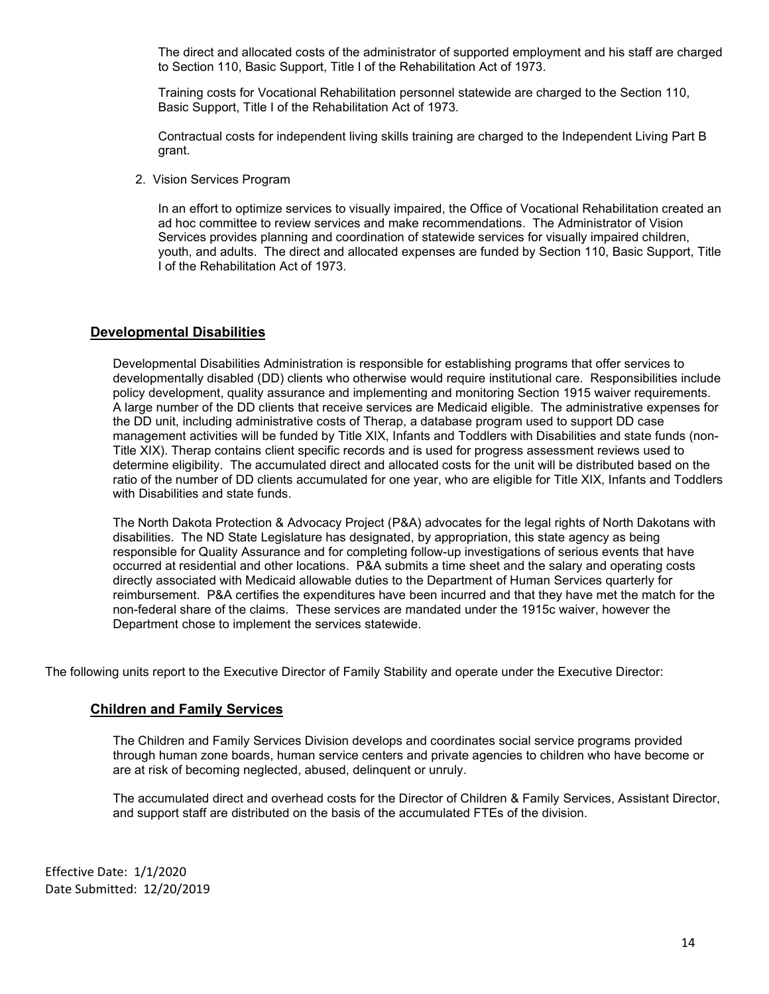The direct and allocated costs of the administrator of supported employment and his staff are charged to Section 110, Basic Support, Title I of the Rehabilitation Act of 1973.

Training costs for Vocational Rehabilitation personnel statewide are charged to the Section 110, Basic Support, Title I of the Rehabilitation Act of 1973.

Contractual costs for independent living skills training are charged to the Independent Living Part B grant.

2. Vision Services Program

In an effort to optimize services to visually impaired, the Office of Vocational Rehabilitation created an ad hoc committee to review services and make recommendations. The Administrator of Vision Services provides planning and coordination of statewide services for visually impaired children, youth, and adults. The direct and allocated expenses are funded by Section 110, Basic Support, Title I of the Rehabilitation Act of 1973.

# <span id="page-13-0"></span>**Developmental Disabilities**

Developmental Disabilities Administration is responsible for establishing programs that offer services to developmentally disabled (DD) clients who otherwise would require institutional care. Responsibilities include policy development, quality assurance and implementing and monitoring Section 1915 waiver requirements. A large number of the DD clients that receive services are Medicaid eligible. The administrative expenses for the DD unit, including administrative costs of Therap, a database program used to support DD case management activities will be funded by Title XIX, Infants and Toddlers with Disabilities and state funds (non-Title XIX). Therap contains client specific records and is used for progress assessment reviews used to determine eligibility. The accumulated direct and allocated costs for the unit will be distributed based on the ratio of the number of DD clients accumulated for one year, who are eligible for Title XIX, Infants and Toddlers with Disabilities and state funds.

The North Dakota Protection & Advocacy Project (P&A) advocates for the legal rights of North Dakotans with disabilities. The ND State Legislature has designated, by appropriation, this state agency as being responsible for Quality Assurance and for completing follow-up investigations of serious events that have occurred at residential and other locations. P&A submits a time sheet and the salary and operating costs directly associated with Medicaid allowable duties to the Department of Human Services quarterly for reimbursement. P&A certifies the expenditures have been incurred and that they have met the match for the non-federal share of the claims. These services are mandated under the 1915c waiver, however the Department chose to implement the services statewide.

<span id="page-13-1"></span>The following units report to the Executive Director of Family Stability and operate under the Executive Director:

# **Children and Family Services**

The Children and Family Services Division develops and coordinates social service programs provided through human zone boards, human service centers and private agencies to children who have become or are at risk of becoming neglected, abused, delinquent or unruly.

The accumulated direct and overhead costs for the Director of Children & Family Services, Assistant Director, and support staff are distributed on the basis of the accumulated FTEs of the division.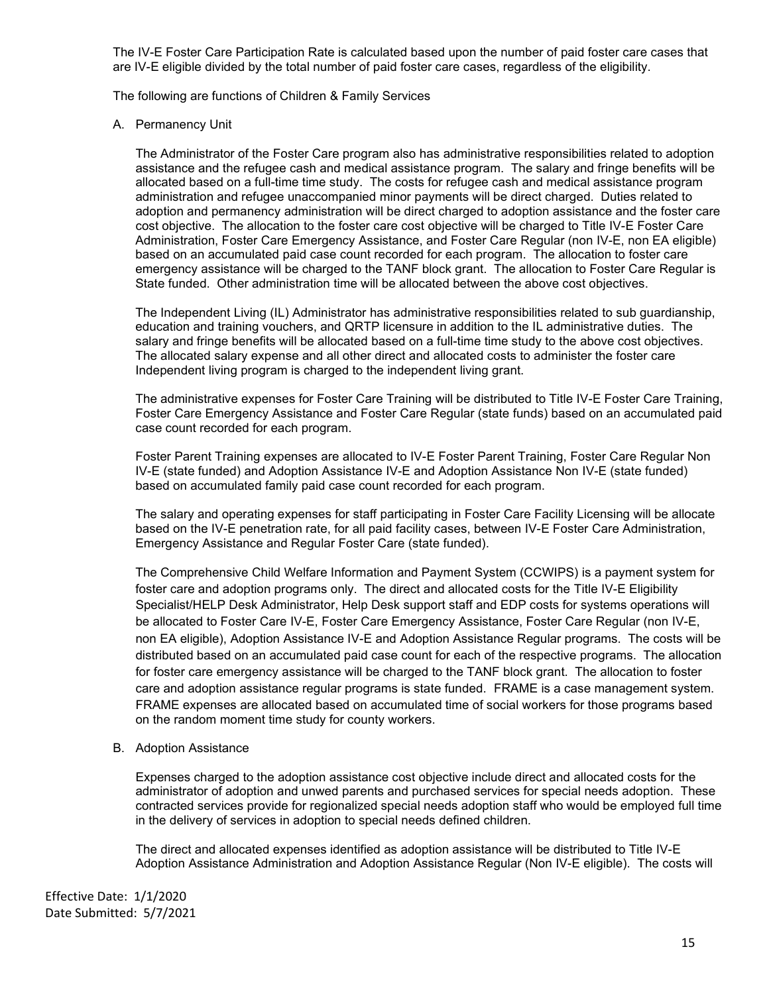The IV-E Foster Care Participation Rate is calculated based upon the number of paid foster care cases that are IV-E eligible divided by the total number of paid foster care cases, regardless of the eligibility.

The following are functions of Children & Family Services

A. Permanency Unit

The Administrator of the Foster Care program also has administrative responsibilities related to adoption assistance and the refugee cash and medical assistance program. The salary and fringe benefits will be allocated based on a full-time time study. The costs for refugee cash and medical assistance program administration and refugee unaccompanied minor payments will be direct charged. Duties related to adoption and permanency administration will be direct charged to adoption assistance and the foster care cost objective. The allocation to the foster care cost objective will be charged to Title IV-E Foster Care Administration, Foster Care Emergency Assistance, and Foster Care Regular (non IV-E, non EA eligible) based on an accumulated paid case count recorded for each program. The allocation to foster care emergency assistance will be charged to the TANF block grant. The allocation to Foster Care Regular is State funded. Other administration time will be allocated between the above cost objectives.

The Independent Living (IL) Administrator has administrative responsibilities related to sub guardianship, education and training vouchers, and QRTP licensure in addition to the IL administrative duties. The salary and fringe benefits will be allocated based on a full-time time study to the above cost objectives. The allocated salary expense and all other direct and allocated costs to administer the foster care Independent living program is charged to the independent living grant.

The administrative expenses for Foster Care Training will be distributed to Title IV-E Foster Care Training, Foster Care Emergency Assistance and Foster Care Regular (state funds) based on an accumulated paid case count recorded for each program.

Foster Parent Training expenses are allocated to IV-E Foster Parent Training, Foster Care Regular Non IV-E (state funded) and Adoption Assistance IV-E and Adoption Assistance Non IV-E (state funded) based on accumulated family paid case count recorded for each program.

The salary and operating expenses for staff participating in Foster Care Facility Licensing will be allocate based on the IV-E penetration rate, for all paid facility cases, between IV-E Foster Care Administration, Emergency Assistance and Regular Foster Care (state funded).

The Comprehensive Child Welfare Information and Payment System (CCWIPS) is a payment system for foster care and adoption programs only. The direct and allocated costs for the Title IV-E Eligibility Specialist/HELP Desk Administrator, Help Desk support staff and EDP costs for systems operations will be allocated to Foster Care IV-E, Foster Care Emergency Assistance, Foster Care Regular (non IV-E, non EA eligible), Adoption Assistance IV-E and Adoption Assistance Regular programs. The costs will be distributed based on an accumulated paid case count for each of the respective programs. The allocation for foster care emergency assistance will be charged to the TANF block grant. The allocation to foster care and adoption assistance regular programs is state funded. FRAME is a case management system. FRAME expenses are allocated based on accumulated time of social workers for those programs based on the random moment time study for county workers.

B. Adoption Assistance

Expenses charged to the adoption assistance cost objective include direct and allocated costs for the administrator of adoption and unwed parents and purchased services for special needs adoption. These contracted services provide for regionalized special needs adoption staff who would be employed full time in the delivery of services in adoption to special needs defined children.

The direct and allocated expenses identified as adoption assistance will be distributed to Title IV-E Adoption Assistance Administration and Adoption Assistance Regular (Non IV-E eligible). The costs will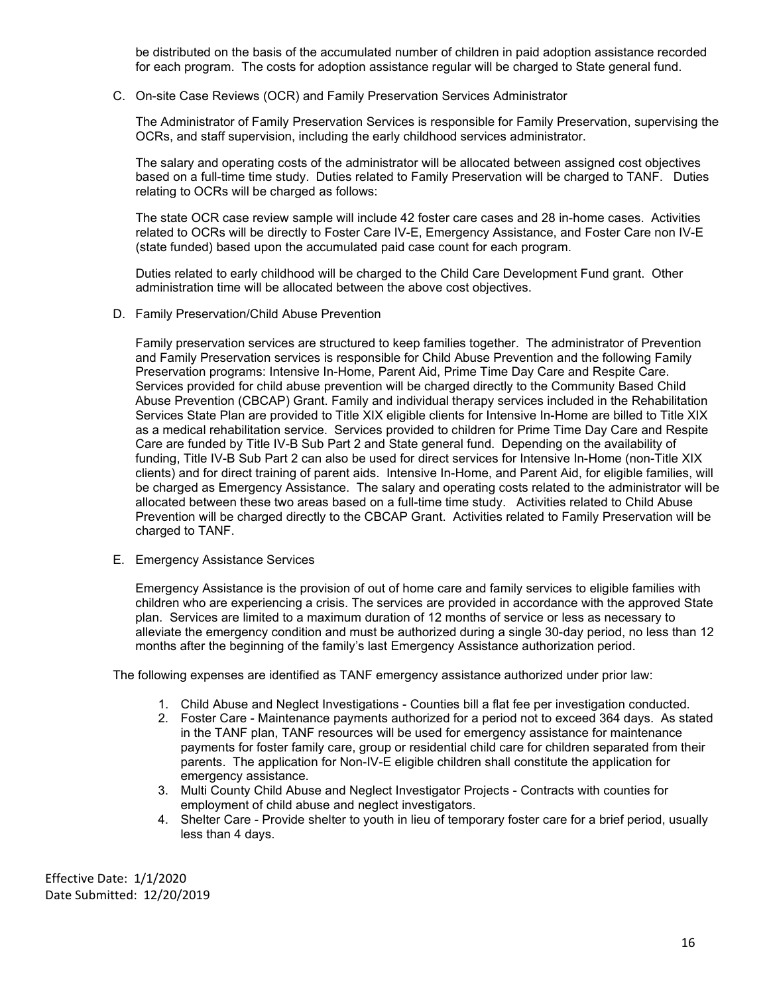be distributed on the basis of the accumulated number of children in paid adoption assistance recorded for each program. The costs for adoption assistance regular will be charged to State general fund.

C. On-site Case Reviews (OCR) and Family Preservation Services Administrator

The Administrator of Family Preservation Services is responsible for Family Preservation, supervising the OCRs, and staff supervision, including the early childhood services administrator.

The salary and operating costs of the administrator will be allocated between assigned cost objectives based on a full-time time study. Duties related to Family Preservation will be charged to TANF. Duties relating to OCRs will be charged as follows:

The state OCR case review sample will include 42 foster care cases and 28 in-home cases. Activities related to OCRs will be directly to Foster Care IV-E, Emergency Assistance, and Foster Care non IV-E (state funded) based upon the accumulated paid case count for each program.

Duties related to early childhood will be charged to the Child Care Development Fund grant. Other administration time will be allocated between the above cost objectives.

D. Family Preservation/Child Abuse Prevention

Family preservation services are structured to keep families together. The administrator of Prevention and Family Preservation services is responsible for Child Abuse Prevention and the following Family Preservation programs: Intensive In-Home, Parent Aid, Prime Time Day Care and Respite Care. Services provided for child abuse prevention will be charged directly to the Community Based Child Abuse Prevention (CBCAP) Grant. Family and individual therapy services included in the Rehabilitation Services State Plan are provided to Title XIX eligible clients for Intensive In-Home are billed to Title XIX as a medical rehabilitation service. Services provided to children for Prime Time Day Care and Respite Care are funded by Title IV-B Sub Part 2 and State general fund. Depending on the availability of funding, Title IV-B Sub Part 2 can also be used for direct services for Intensive In-Home (non-Title XIX clients) and for direct training of parent aids. Intensive In-Home, and Parent Aid, for eligible families, will be charged as Emergency Assistance. The salary and operating costs related to the administrator will be allocated between these two areas based on a full-time time study. Activities related to Child Abuse Prevention will be charged directly to the CBCAP Grant. Activities related to Family Preservation will be charged to TANF.

E. Emergency Assistance Services

Emergency Assistance is the provision of out of home care and family services to eligible families with children who are experiencing a crisis. The services are provided in accordance with the approved State plan. Services are limited to a maximum duration of 12 months of service or less as necessary to alleviate the emergency condition and must be authorized during a single 30-day period, no less than 12 months after the beginning of the family's last Emergency Assistance authorization period.

The following expenses are identified as TANF emergency assistance authorized under prior law:

- 1. Child Abuse and Neglect Investigations Counties bill a flat fee per investigation conducted.
- 2. Foster Care Maintenance payments authorized for a period not to exceed 364 days. As stated in the TANF plan, TANF resources will be used for emergency assistance for maintenance payments for foster family care, group or residential child care for children separated from their parents. The application for Non-IV-E eligible children shall constitute the application for emergency assistance.
- 3. Multi County Child Abuse and Neglect Investigator Projects Contracts with counties for employment of child abuse and neglect investigators.
- 4. Shelter Care Provide shelter to youth in lieu of temporary foster care for a brief period, usually less than 4 days.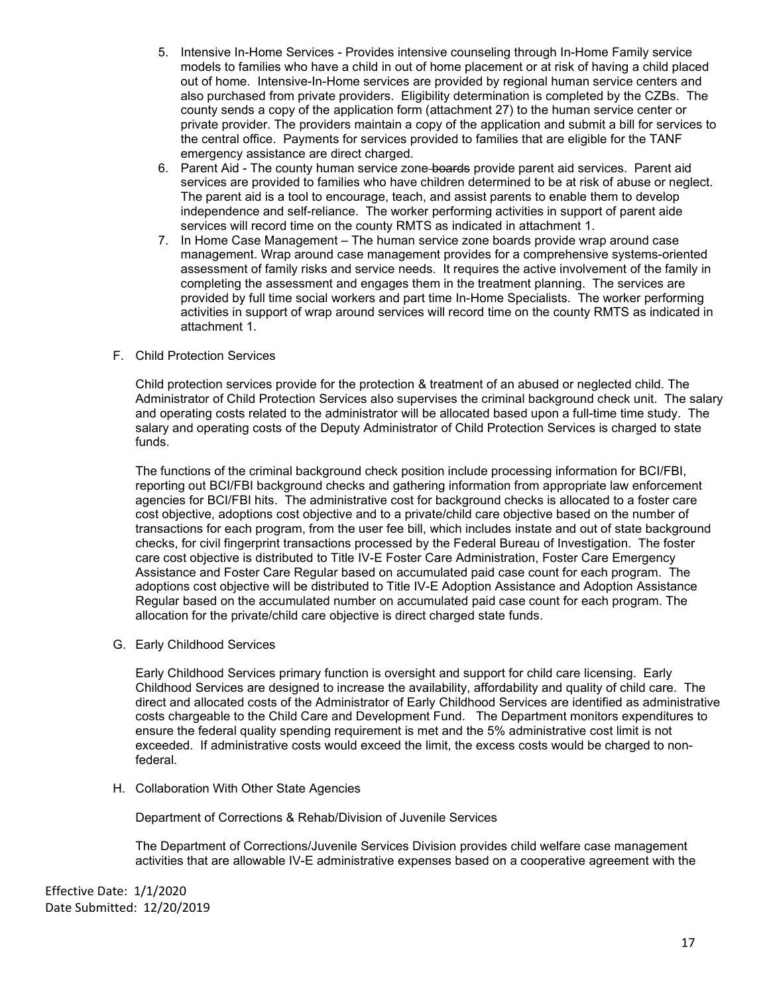- 5. Intensive In-Home Services Provides intensive counseling through In-Home Family service models to families who have a child in out of home placement or at risk of having a child placed out of home. Intensive-In-Home services are provided by regional human service centers and also purchased from private providers. Eligibility determination is completed by the CZBs. The county sends a copy of the application form (attachment 27) to the human service center or private provider. The providers maintain a copy of the application and submit a bill for services to the central office. Payments for services provided to families that are eligible for the TANF emergency assistance are direct charged.
- 6. Parent Aid The county human service zone boards provide parent aid services. Parent aid services are provided to families who have children determined to be at risk of abuse or neglect. The parent aid is a tool to encourage, teach, and assist parents to enable them to develop independence and self-reliance. The worker performing activities in support of parent aide services will record time on the county RMTS as indicated in attachment 1.
- 7. In Home Case Management The human service zone boards provide wrap around case management. Wrap around case management provides for a comprehensive systems-oriented assessment of family risks and service needs. It requires the active involvement of the family in completing the assessment and engages them in the treatment planning. The services are provided by full time social workers and part time In-Home Specialists. The worker performing activities in support of wrap around services will record time on the county RMTS as indicated in attachment 1.
- F. Child Protection Services

Child protection services provide for the protection & treatment of an abused or neglected child. The Administrator of Child Protection Services also supervises the criminal background check unit. The salary and operating costs related to the administrator will be allocated based upon a full-time time study. The salary and operating costs of the Deputy Administrator of Child Protection Services is charged to state funds.

The functions of the criminal background check position include processing information for BCI/FBI, reporting out BCI/FBI background checks and gathering information from appropriate law enforcement agencies for BCI/FBI hits. The administrative cost for background checks is allocated to a foster care cost objective, adoptions cost objective and to a private/child care objective based on the number of transactions for each program, from the user fee bill, which includes instate and out of state background checks, for civil fingerprint transactions processed by the Federal Bureau of Investigation. The foster care cost objective is distributed to Title IV-E Foster Care Administration, Foster Care Emergency Assistance and Foster Care Regular based on accumulated paid case count for each program. The adoptions cost objective will be distributed to Title IV-E Adoption Assistance and Adoption Assistance Regular based on the accumulated number on accumulated paid case count for each program. The allocation for the private/child care objective is direct charged state funds.

G. Early Childhood Services

Early Childhood Services primary function is oversight and support for child care licensing. Early Childhood Services are designed to increase the availability, affordability and quality of child care. The direct and allocated costs of the Administrator of Early Childhood Services are identified as administrative costs chargeable to the Child Care and Development Fund. The Department monitors expenditures to ensure the federal quality spending requirement is met and the 5% administrative cost limit is not exceeded. If administrative costs would exceed the limit, the excess costs would be charged to nonfederal.

H. Collaboration With Other State Agencies

Department of Corrections & Rehab/Division of Juvenile Services

The Department of Corrections/Juvenile Services Division provides child welfare case management activities that are allowable IV-E administrative expenses based on a cooperative agreement with the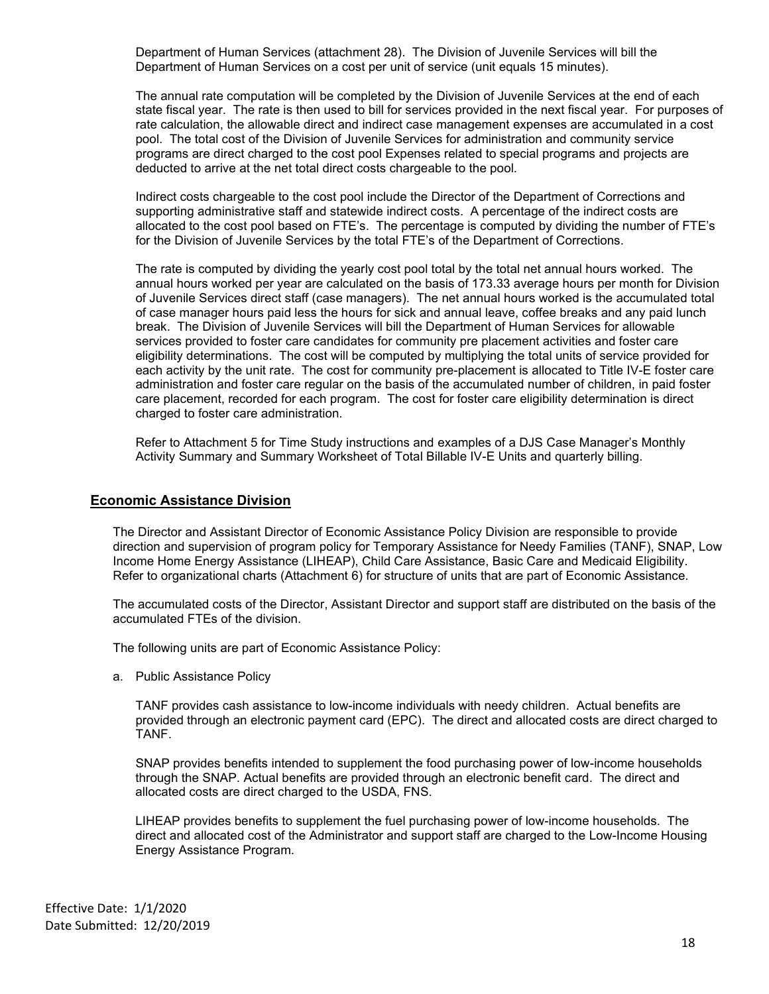Department of Human Services (attachment 28). The Division of Juvenile Services will bill the Department of Human Services on a cost per unit of service (unit equals 15 minutes).

The annual rate computation will be completed by the Division of Juvenile Services at the end of each state fiscal year. The rate is then used to bill for services provided in the next fiscal year. For purposes of rate calculation, the allowable direct and indirect case management expenses are accumulated in a cost pool. The total cost of the Division of Juvenile Services for administration and community service programs are direct charged to the cost pool Expenses related to special programs and projects are deducted to arrive at the net total direct costs chargeable to the pool.

Indirect costs chargeable to the cost pool include the Director of the Department of Corrections and supporting administrative staff and statewide indirect costs. A percentage of the indirect costs are allocated to the cost pool based on FTE's. The percentage is computed by dividing the number of FTE's for the Division of Juvenile Services by the total FTE's of the Department of Corrections.

The rate is computed by dividing the yearly cost pool total by the total net annual hours worked. The annual hours worked per year are calculated on the basis of 173.33 average hours per month for Division of Juvenile Services direct staff (case managers). The net annual hours worked is the accumulated total of case manager hours paid less the hours for sick and annual leave, coffee breaks and any paid lunch break. The Division of Juvenile Services will bill the Department of Human Services for allowable services provided to foster care candidates for community pre placement activities and foster care eligibility determinations. The cost will be computed by multiplying the total units of service provided for each activity by the unit rate. The cost for community pre-placement is allocated to Title IV-E foster care administration and foster care regular on the basis of the accumulated number of children, in paid foster care placement, recorded for each program. The cost for foster care eligibility determination is direct charged to foster care administration.

Refer to Attachment 5 for Time Study instructions and examples of a DJS Case Manager's Monthly Activity Summary and Summary Worksheet of Total Billable IV-E Units and quarterly billing.

## <span id="page-17-0"></span>**Economic Assistance Division**

The Director and Assistant Director of Economic Assistance Policy Division are responsible to provide direction and supervision of program policy for Temporary Assistance for Needy Families (TANF), SNAP, Low Income Home Energy Assistance (LIHEAP), Child Care Assistance, Basic Care and Medicaid Eligibility. Refer to organizational charts (Attachment 6) for structure of units that are part of Economic Assistance.

The accumulated costs of the Director, Assistant Director and support staff are distributed on the basis of the accumulated FTEs of the division.

The following units are part of Economic Assistance Policy:

a. Public Assistance Policy

TANF provides cash assistance to low-income individuals with needy children. Actual benefits are provided through an electronic payment card (EPC). The direct and allocated costs are direct charged to TANF.

SNAP provides benefits intended to supplement the food purchasing power of low-income households through the SNAP. Actual benefits are provided through an electronic benefit card. The direct and allocated costs are direct charged to the USDA, FNS.

LIHEAP provides benefits to supplement the fuel purchasing power of low-income households. The direct and allocated cost of the Administrator and support staff are charged to the Low-Income Housing Energy Assistance Program.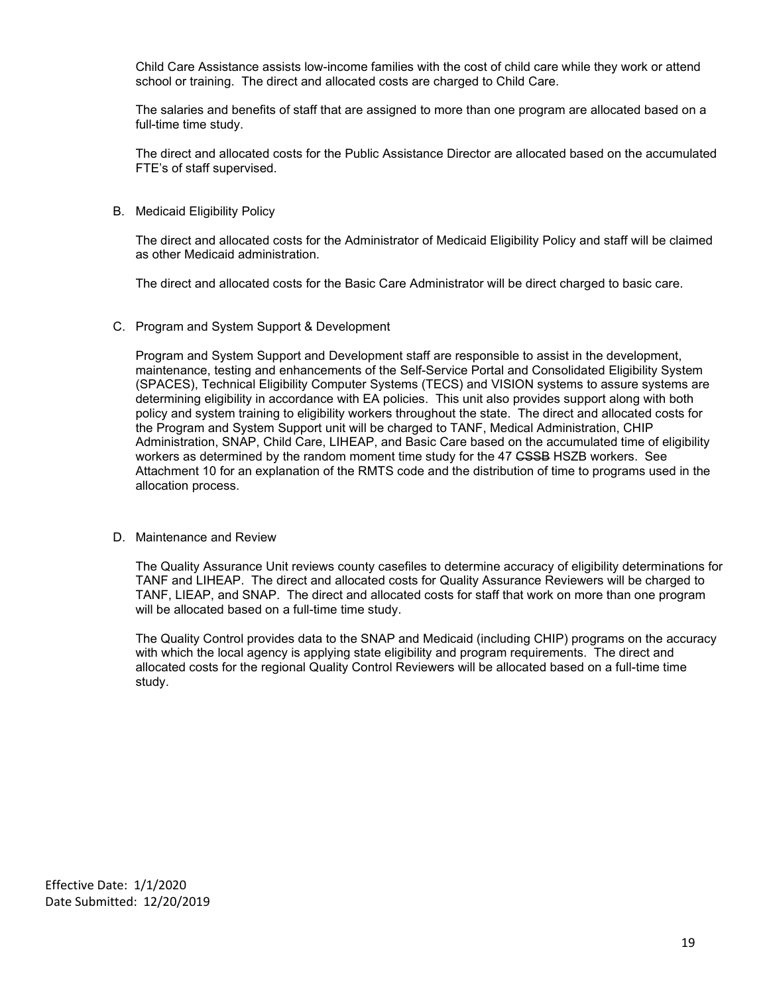Child Care Assistance assists low-income families with the cost of child care while they work or attend school or training. The direct and allocated costs are charged to Child Care.

The salaries and benefits of staff that are assigned to more than one program are allocated based on a full-time time study.

The direct and allocated costs for the Public Assistance Director are allocated based on the accumulated FTE's of staff supervised.

B. Medicaid Eligibility Policy

The direct and allocated costs for the Administrator of Medicaid Eligibility Policy and staff will be claimed as other Medicaid administration.

The direct and allocated costs for the Basic Care Administrator will be direct charged to basic care.

C. Program and System Support & Development

Program and System Support and Development staff are responsible to assist in the development, maintenance, testing and enhancements of the Self-Service Portal and Consolidated Eligibility System (SPACES), Technical Eligibility Computer Systems (TECS) and VISION systems to assure systems are determining eligibility in accordance with EA policies. This unit also provides support along with both policy and system training to eligibility workers throughout the state. The direct and allocated costs for the Program and System Support unit will be charged to TANF, Medical Administration, CHIP Administration, SNAP, Child Care, LIHEAP, and Basic Care based on the accumulated time of eligibility workers as determined by the random moment time study for the 47 CSSB HSZB workers. See Attachment 10 for an explanation of the RMTS code and the distribution of time to programs used in the allocation process.

#### D. Maintenance and Review

The Quality Assurance Unit reviews county casefiles to determine accuracy of eligibility determinations for TANF and LIHEAP. The direct and allocated costs for Quality Assurance Reviewers will be charged to TANF, LIEAP, and SNAP. The direct and allocated costs for staff that work on more than one program will be allocated based on a full-time time study.

The Quality Control provides data to the SNAP and Medicaid (including CHIP) programs on the accuracy with which the local agency is applying state eligibility and program requirements. The direct and allocated costs for the regional Quality Control Reviewers will be allocated based on a full-time time study.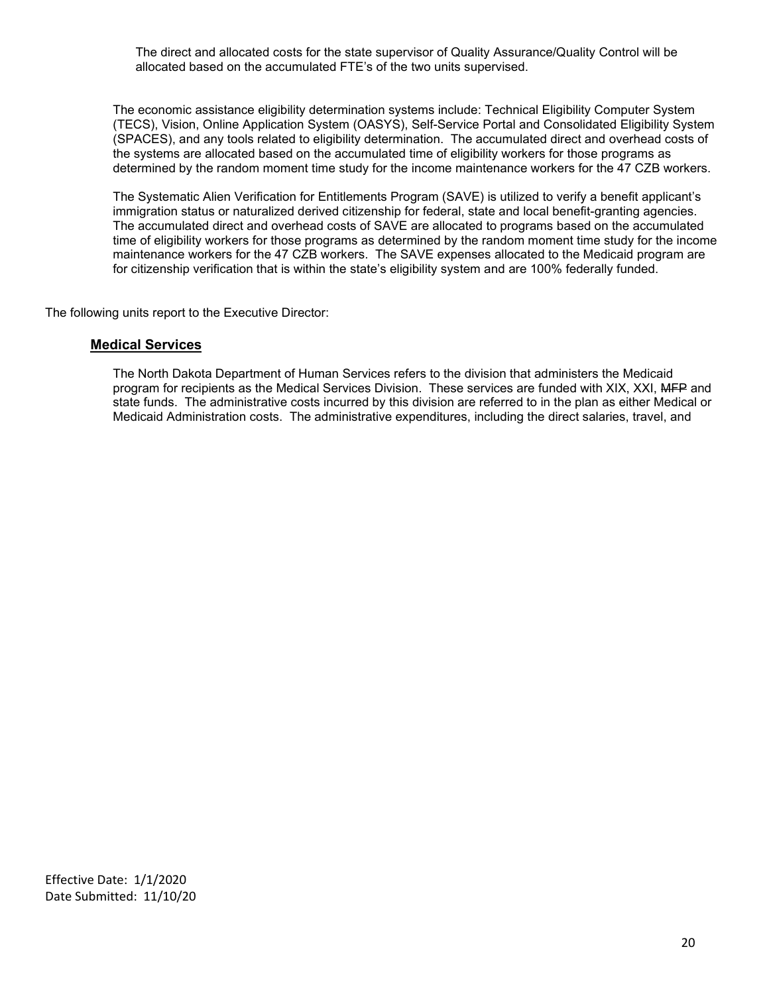The direct and allocated costs for the state supervisor of Quality Assurance/Quality Control will be allocated based on the accumulated FTE's of the two units supervised.

The economic assistance eligibility determination systems include: Technical Eligibility Computer System (TECS), Vision, Online Application System (OASYS), Self-Service Portal and Consolidated Eligibility System (SPACES), and any tools related to eligibility determination. The accumulated direct and overhead costs of the systems are allocated based on the accumulated time of eligibility workers for those programs as determined by the random moment time study for the income maintenance workers for the 47 CZB workers.

The Systematic Alien Verification for Entitlements Program (SAVE) is utilized to verify a benefit applicant's immigration status or naturalized derived citizenship for federal, state and local benefit-granting agencies. The accumulated direct and overhead costs of SAVE are allocated to programs based on the accumulated time of eligibility workers for those programs as determined by the random moment time study for the income maintenance workers for the 47 CZB workers. The SAVE expenses allocated to the Medicaid program are for citizenship verification that is within the state's eligibility system and are 100% federally funded.

<span id="page-19-0"></span>The following units report to the Executive Director:

## **Medical Services**

The North Dakota Department of Human Services refers to the division that administers the Medicaid program for recipients as the Medical Services Division. These services are funded with XIX, XXI, MFP and state funds. The administrative costs incurred by this division are referred to in the plan as either Medical or Medicaid Administration costs. The administrative expenditures, including the direct salaries, travel, and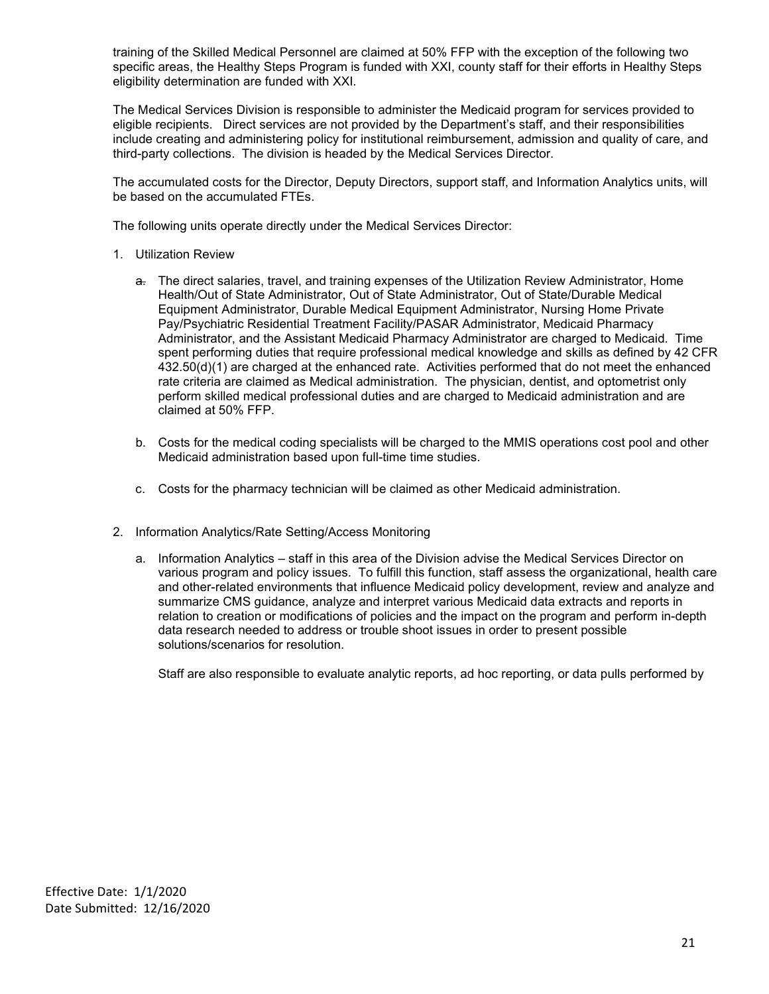training of the Skilled Medical Personnel are claimed at 50% FFP with the exception of the following two specific areas, the Healthy Steps Program is funded with XXI, county staff for their efforts in Healthy Steps eligibility determination are funded with XXI.

The Medical Services Division is responsible to administer the Medicaid program for services provided to eligible recipients. Direct services are not provided by the Department's staff, and their responsibilities include creating and administering policy for institutional reimbursement, admission and quality of care, and third-party collections. The division is headed by the Medical Services Director.

The accumulated costs for the Director, Deputy Directors, support staff, and Information Analytics units, will be based on the accumulated FTEs.

The following units operate directly under the Medical Services Director:

- 1. Utilization Review
	- a. The direct salaries, travel, and training expenses of the Utilization Review Administrator, Home Health/Out of State Administrator, Out of State Administrator, Out of State/Durable Medical Equipment Administrator, Durable Medical Equipment Administrator, Nursing Home Private Pay/Psychiatric Residential Treatment Facility/PASAR Administrator, Medicaid Pharmacy Administrator, and the Assistant Medicaid Pharmacy Administrator are charged to Medicaid. Time spent performing duties that require professional medical knowledge and skills as defined by 42 CFR 432.50(d)(1) are charged at the enhanced rate. Activities performed that do not meet the enhanced rate criteria are claimed as Medical administration. The physician, dentist, and optometrist only perform skilled medical professional duties and are charged to Medicaid administration and are claimed at 50% FFP.
	- b. Costs for the medical coding specialists will be charged to the MMIS operations cost pool and other Medicaid administration based upon full-time time studies.
	- c. Costs for the pharmacy technician will be claimed as other Medicaid administration.
- 2. Information Analytics/Rate Setting/Access Monitoring
	- a. Information Analytics staff in this area of the Division advise the Medical Services Director on various program and policy issues. To fulfill this function, staff assess the organizational, health care and other-related environments that influence Medicaid policy development, review and analyze and summarize CMS guidance, analyze and interpret various Medicaid data extracts and reports in relation to creation or modifications of policies and the impact on the program and perform in-depth data research needed to address or trouble shoot issues in order to present possible solutions/scenarios for resolution.

Staff are also responsible to evaluate analytic reports, ad hoc reporting, or data pulls performed by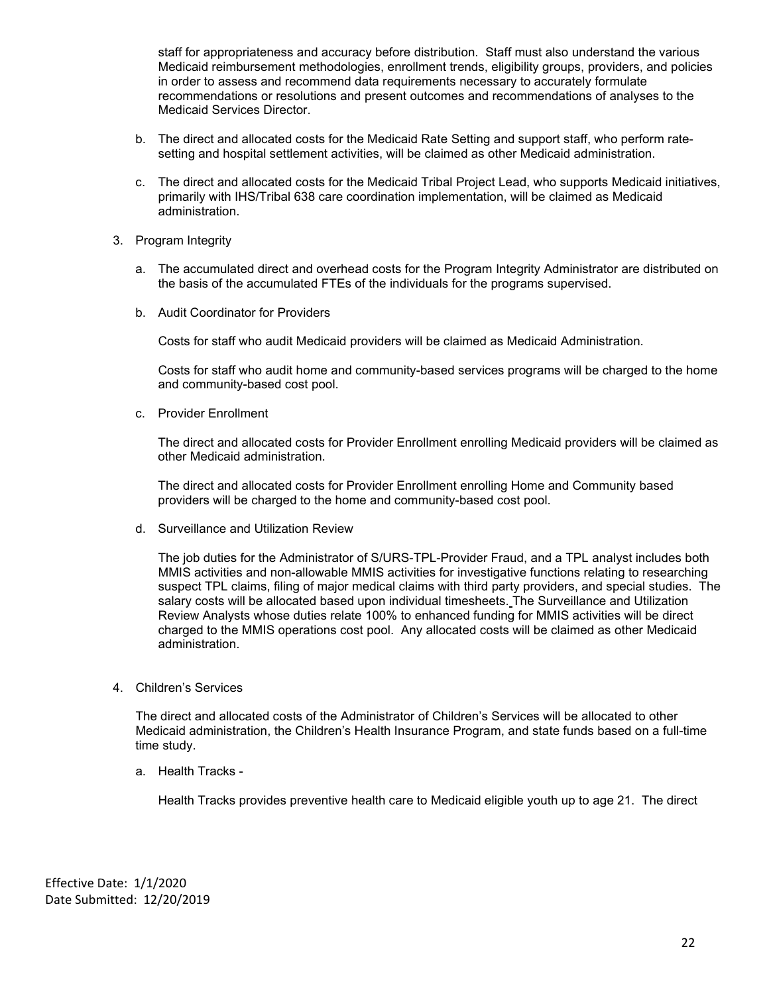staff for appropriateness and accuracy before distribution. Staff must also understand the various Medicaid reimbursement methodologies, enrollment trends, eligibility groups, providers, and policies in order to assess and recommend data requirements necessary to accurately formulate recommendations or resolutions and present outcomes and recommendations of analyses to the Medicaid Services Director.

- b. The direct and allocated costs for the Medicaid Rate Setting and support staff, who perform ratesetting and hospital settlement activities, will be claimed as other Medicaid administration.
- c. The direct and allocated costs for the Medicaid Tribal Project Lead, who supports Medicaid initiatives, primarily with IHS/Tribal 638 care coordination implementation, will be claimed as Medicaid administration.
- 3. Program Integrity
	- a. The accumulated direct and overhead costs for the Program Integrity Administrator are distributed on the basis of the accumulated FTEs of the individuals for the programs supervised.
	- b. Audit Coordinator for Providers

Costs for staff who audit Medicaid providers will be claimed as Medicaid Administration.

Costs for staff who audit home and community-based services programs will be charged to the home and community-based cost pool.

c. Provider Enrollment

The direct and allocated costs for Provider Enrollment enrolling Medicaid providers will be claimed as other Medicaid administration.

The direct and allocated costs for Provider Enrollment enrolling Home and Community based providers will be charged to the home and community-based cost pool.

d. Surveillance and Utilization Review

The job duties for the Administrator of S/URS-TPL-Provider Fraud, and a TPL analyst includes both MMIS activities and non-allowable MMIS activities for investigative functions relating to researching suspect TPL claims, filing of major medical claims with third party providers, and special studies. The salary costs will be allocated based upon individual timesheets. The Surveillance and Utilization Review Analysts whose duties relate 100% to enhanced funding for MMIS activities will be direct charged to the MMIS operations cost pool. Any allocated costs will be claimed as other Medicaid administration.

4. Children's Services

The direct and allocated costs of the Administrator of Children's Services will be allocated to other Medicaid administration, the Children's Health Insurance Program, and state funds based on a full-time time study.

a. Health Tracks -

Health Tracks provides preventive health care to Medicaid eligible youth up to age 21. The direct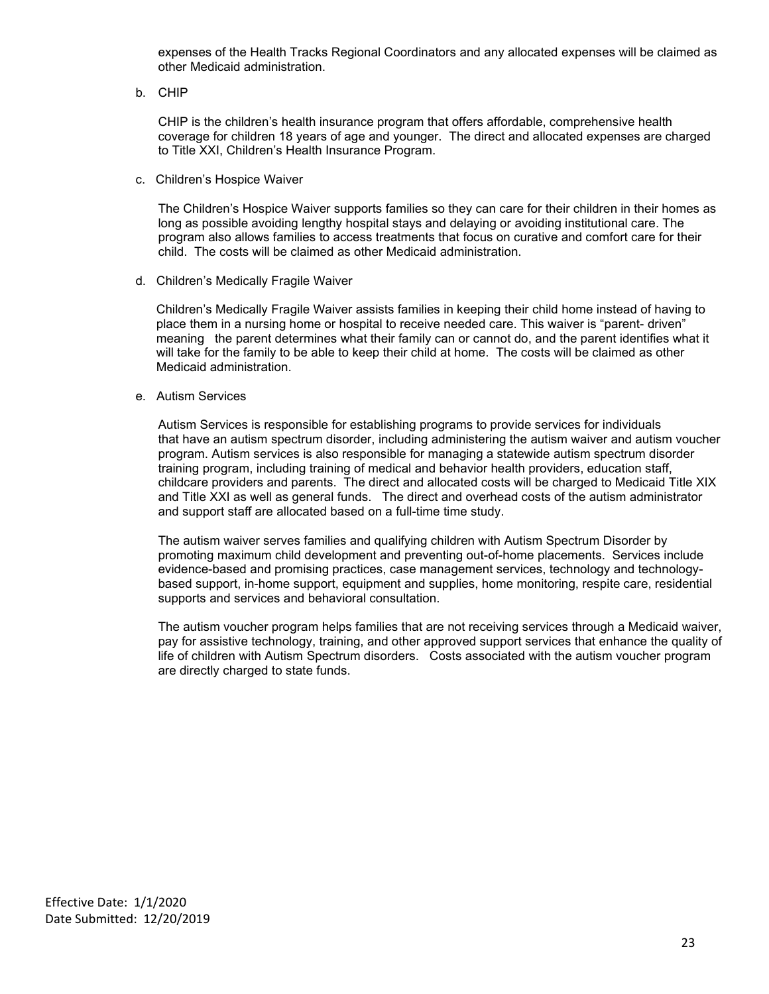expenses of the Health Tracks Regional Coordinators and any allocated expenses will be claimed as other Medicaid administration.

b. CHIP

CHIP is the children's health insurance program that offers affordable, comprehensive health coverage for children 18 years of age and younger. The direct and allocated expenses are charged to Title XXI, Children's Health Insurance Program.

c. Children's Hospice Waiver

The Children's Hospice Waiver supports families so they can care for their children in their homes as long as possible avoiding lengthy hospital stays and delaying or avoiding institutional care. The program also allows families to access treatments that focus on curative and comfort care for their child. The costs will be claimed as other Medicaid administration.

d. Children's Medically Fragile Waiver

Children's Medically Fragile Waiver assists families in keeping their child home instead of having to place them in a nursing home or hospital to receive needed care. This waiver is "parent- driven" meaning the parent determines what their family can or cannot do, and the parent identifies what it will take for the family to be able to keep their child at home. The costs will be claimed as other Medicaid administration.

e. Autism Services

Autism Services is responsible for establishing programs to provide services for individuals that have an autism spectrum disorder, including administering the autism waiver and autism voucher program. Autism services is also responsible for managing a statewide autism spectrum disorder training program, including training of medical and behavior health providers, education staff, childcare providers and parents. The direct and allocated costs will be charged to Medicaid Title XIX and Title XXI as well as general funds. The direct and overhead costs of the autism administrator and support staff are allocated based on a full-time time study.

The autism waiver serves families and qualifying children with Autism Spectrum Disorder by promoting maximum child development and preventing out-of-home placements. Services include evidence-based and promising practices, case management services, technology and technologybased support, in-home support, equipment and supplies, home monitoring, respite care, residential supports and services and behavioral consultation.

The autism voucher program helps families that are not receiving services through a Medicaid waiver, pay for assistive technology, training, and other approved support services that enhance the quality of life of children with Autism Spectrum disorders. Costs associated with the autism voucher program are directly charged to state funds.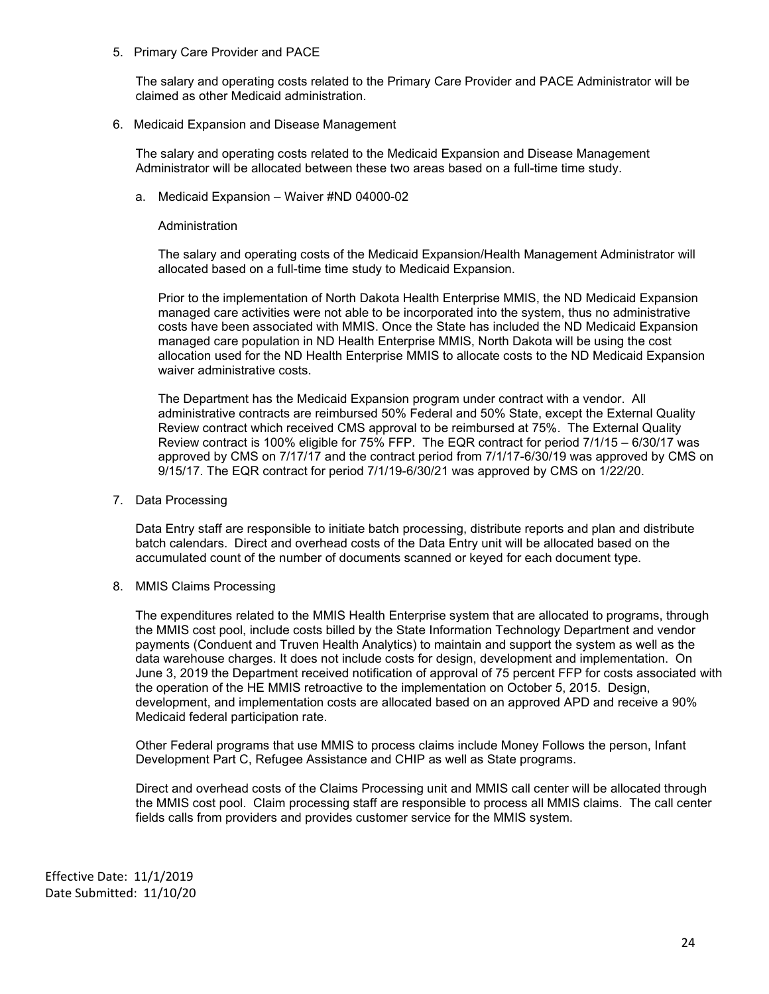#### 5. Primary Care Provider and PACE

The salary and operating costs related to the Primary Care Provider and PACE Administrator will be claimed as other Medicaid administration.

6. Medicaid Expansion and Disease Management

The salary and operating costs related to the Medicaid Expansion and Disease Management Administrator will be allocated between these two areas based on a full-time time study.

a. Medicaid Expansion – Waiver #ND 04000-02

#### Administration

The salary and operating costs of the Medicaid Expansion/Health Management Administrator will allocated based on a full-time time study to Medicaid Expansion.

Prior to the implementation of North Dakota Health Enterprise MMIS, the ND Medicaid Expansion managed care activities were not able to be incorporated into the system, thus no administrative costs have been associated with MMIS. Once the State has included the ND Medicaid Expansion managed care population in ND Health Enterprise MMIS, North Dakota will be using the cost allocation used for the ND Health Enterprise MMIS to allocate costs to the ND Medicaid Expansion waiver administrative costs.

The Department has the Medicaid Expansion program under contract with a vendor. All administrative contracts are reimbursed 50% Federal and 50% State, except the External Quality Review contract which received CMS approval to be reimbursed at 75%. The External Quality Review contract is 100% eligible for 75% FFP. The EQR contract for period 7/1/15 – 6/30/17 was approved by CMS on 7/17/17 and the contract period from 7/1/17-6/30/19 was approved by CMS on 9/15/17. The EQR contract for period 7/1/19-6/30/21 was approved by CMS on 1/22/20.

7. Data Processing

Data Entry staff are responsible to initiate batch processing, distribute reports and plan and distribute batch calendars. Direct and overhead costs of the Data Entry unit will be allocated based on the accumulated count of the number of documents scanned or keyed for each document type.

8. MMIS Claims Processing

The expenditures related to the MMIS Health Enterprise system that are allocated to programs, through the MMIS cost pool, include costs billed by the State Information Technology Department and vendor payments (Conduent and Truven Health Analytics) to maintain and support the system as well as the data warehouse charges. It does not include costs for design, development and implementation. On June 3, 2019 the Department received notification of approval of 75 percent FFP for costs associated with the operation of the HE MMIS retroactive to the implementation on October 5, 2015. Design, development, and implementation costs are allocated based on an approved APD and receive a 90% Medicaid federal participation rate.

Other Federal programs that use MMIS to process claims include Money Follows the person, Infant Development Part C, Refugee Assistance and CHIP as well as State programs.

Direct and overhead costs of the Claims Processing unit and MMIS call center will be allocated through the MMIS cost pool. Claim processing staff are responsible to process all MMIS claims. The call center fields calls from providers and provides customer service for the MMIS system.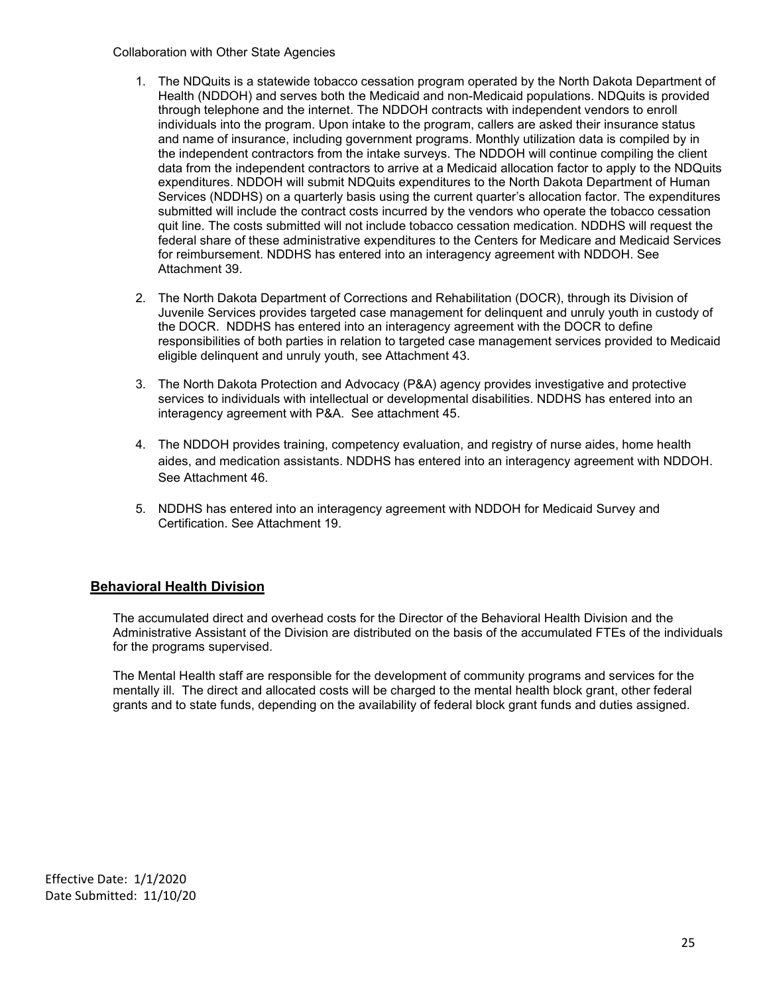#### Collaboration with Other State Agencies

- 1. The NDQuits is a statewide tobacco cessation program operated by the North Dakota Department of Health (NDDOH) and serves both the Medicaid and non-Medicaid populations. NDQuits is provided through telephone and the internet. The NDDOH contracts with independent vendors to enroll individuals into the program. Upon intake to the program, callers are asked their insurance status and name of insurance, including government programs. Monthly utilization data is compiled by in the independent contractors from the intake surveys. The NDDOH will continue compiling the client data from the independent contractors to arrive at a Medicaid allocation factor to apply to the NDQuits expenditures. NDDOH will submit NDQuits expenditures to the North Dakota Department of Human Services (NDDHS) on a quarterly basis using the current quarter's allocation factor. The expenditures submitted will include the contract costs incurred by the vendors who operate the tobacco cessation quit line. The costs submitted will not include tobacco cessation medication. NDDHS will request the federal share of these administrative expenditures to the Centers for Medicare and Medicaid Services for reimbursement. NDDHS has entered into an interagency agreement with NDDOH. See Attachment 39.
- 2. The North Dakota Department of Corrections and Rehabilitation (DOCR), through its Division of Juvenile Services provides targeted case management for delinquent and unruly youth in custody of the DOCR. NDDHS has entered into an interagency agreement with the DOCR to define responsibilities of both parties in relation to targeted case management services provided to Medicaid eligible delinquent and unruly youth, see Attachment 43.
- 3. The North Dakota Protection and Advocacy (P&A) agency provides investigative and protective services to individuals with intellectual or developmental disabilities. NDDHS has entered into an interagency agreement with P&A. See attachment 45.
- 4. The NDDOH provides training, competency evaluation, and registry of nurse aides, home health aides, and medication assistants. NDDHS has entered into an interagency agreement with NDDOH. See Attachment 46.
- 5. NDDHS has entered into an interagency agreement with NDDOH for Medicaid Survey and Certification. See Attachment 19.

## <span id="page-24-0"></span>**Behavioral Health Division**

The accumulated direct and overhead costs for the Director of the Behavioral Health Division and the Administrative Assistant of the Division are distributed on the basis of the accumulated FTEs of the individuals for the programs supervised.

The Mental Health staff are responsible for the development of community programs and services for the mentally ill. The direct and allocated costs will be charged to the mental health block grant, other federal grants and to state funds, depending on the availability of federal block grant funds and duties assigned.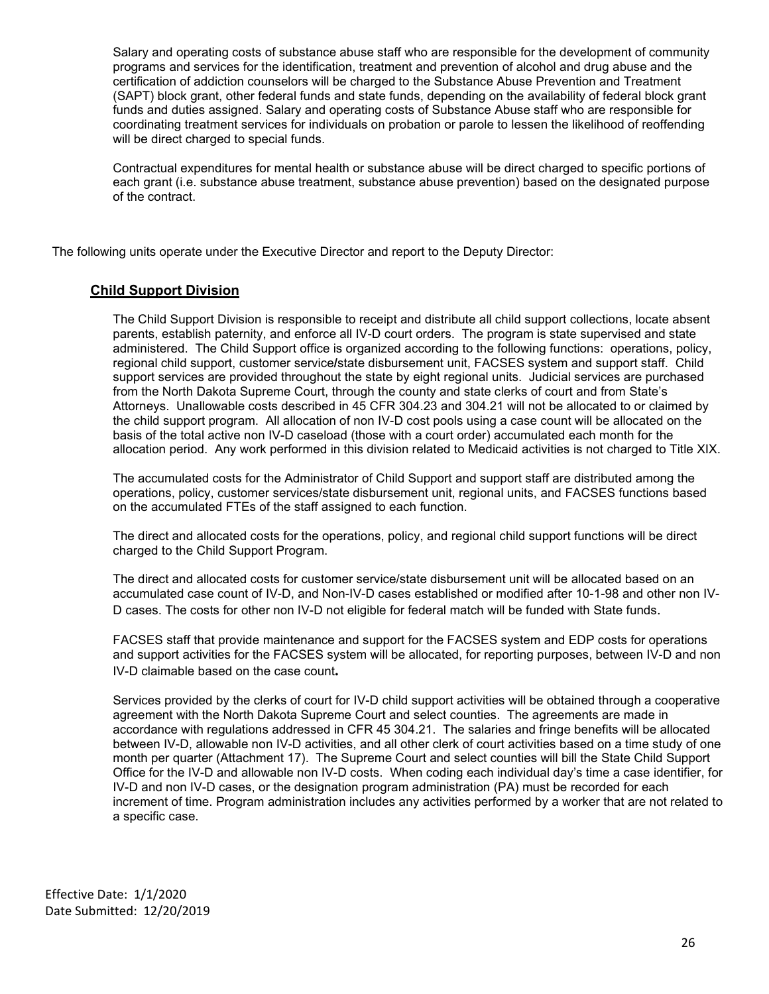Salary and operating costs of substance abuse staff who are responsible for the development of community programs and services for the identification, treatment and prevention of alcohol and drug abuse and the certification of addiction counselors will be charged to the Substance Abuse Prevention and Treatment (SAPT) block grant, other federal funds and state funds, depending on the availability of federal block grant funds and duties assigned. Salary and operating costs of Substance Abuse staff who are responsible for coordinating treatment services for individuals on probation or parole to lessen the likelihood of reoffending will be direct charged to special funds.

Contractual expenditures for mental health or substance abuse will be direct charged to specific portions of each grant (i.e. substance abuse treatment, substance abuse prevention) based on the designated purpose of the contract.

The following units operate under the Executive Director and report to the Deputy Director:

# <span id="page-25-0"></span>**Child Support Division**

The Child Support Division is responsible to receipt and distribute all child support collections, locate absent parents, establish paternity, and enforce all IV-D court orders. The program is state supervised and state administered. The Child Support office is organized according to the following functions: operations, policy, regional child support, customer service**/**state disbursement unit, FACSES system and support staff. Child support services are provided throughout the state by eight regional units. Judicial services are purchased from the North Dakota Supreme Court, through the county and state clerks of court and from State's Attorneys. Unallowable costs described in 45 CFR 304.23 and 304.21 will not be allocated to or claimed by the child support program. All allocation of non IV-D cost pools using a case count will be allocated on the basis of the total active non IV-D caseload (those with a court order) accumulated each month for the allocation period. Any work performed in this division related to Medicaid activities is not charged to Title XIX.

The accumulated costs for the Administrator of Child Support and support staff are distributed among the operations, policy, customer services/state disbursement unit, regional units, and FACSES functions based on the accumulated FTEs of the staff assigned to each function.

The direct and allocated costs for the operations, policy, and regional child support functions will be direct charged to the Child Support Program.

The direct and allocated costs for customer service/state disbursement unit will be allocated based on an accumulated case count of IV-D, and Non-IV-D cases established or modified after 10-1-98 and other non IV-D cases. The costs for other non IV-D not eligible for federal match will be funded with State funds.

FACSES staff that provide maintenance and support for the FACSES system and EDP costs for operations and support activities for the FACSES system will be allocated, for reporting purposes, between IV-D and non IV-D claimable based on the case count**.**

Services provided by the clerks of court for IV-D child support activities will be obtained through a cooperative agreement with the North Dakota Supreme Court and select counties. The agreements are made in accordance with regulations addressed in CFR 45 304.21. The salaries and fringe benefits will be allocated between IV-D, allowable non IV-D activities, and all other clerk of court activities based on a time study of one month per quarter (Attachment 17). The Supreme Court and select counties will bill the State Child Support Office for the IV-D and allowable non IV-D costs. When coding each individual day's time a case identifier, for IV-D and non IV-D cases, or the designation program administration (PA) must be recorded for each increment of time. Program administration includes any activities performed by a worker that are not related to a specific case.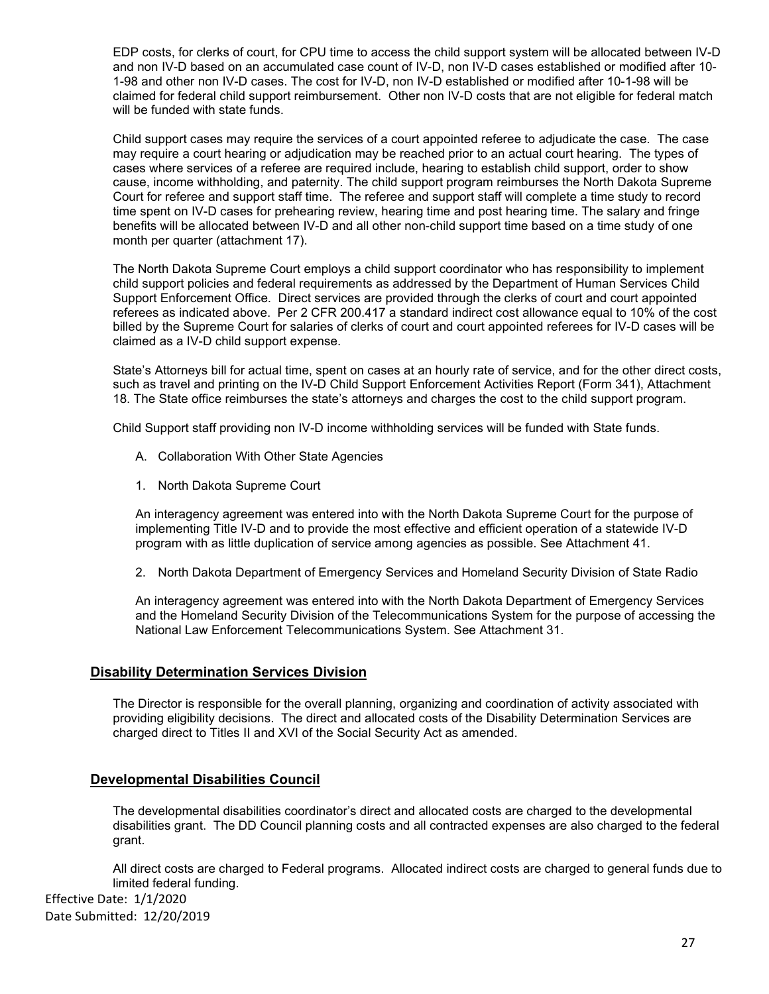EDP costs, for clerks of court, for CPU time to access the child support system will be allocated between IV-D and non IV-D based on an accumulated case count of IV-D, non IV-D cases established or modified after 10- 1-98 and other non IV-D cases. The cost for IV-D, non IV-D established or modified after 10-1-98 will be claimed for federal child support reimbursement. Other non IV-D costs that are not eligible for federal match will be funded with state funds.

Child support cases may require the services of a court appointed referee to adjudicate the case. The case may require a court hearing or adjudication may be reached prior to an actual court hearing. The types of cases where services of a referee are required include, hearing to establish child support, order to show cause, income withholding, and paternity. The child support program reimburses the North Dakota Supreme Court for referee and support staff time. The referee and support staff will complete a time study to record time spent on IV-D cases for prehearing review, hearing time and post hearing time. The salary and fringe benefits will be allocated between IV-D and all other non-child support time based on a time study of one month per quarter (attachment 17).

The North Dakota Supreme Court employs a child support coordinator who has responsibility to implement child support policies and federal requirements as addressed by the Department of Human Services Child Support Enforcement Office. Direct services are provided through the clerks of court and court appointed referees as indicated above. Per 2 CFR 200.417 a standard indirect cost allowance equal to 10% of the cost billed by the Supreme Court for salaries of clerks of court and court appointed referees for IV-D cases will be claimed as a IV-D child support expense.

State's Attorneys bill for actual time, spent on cases at an hourly rate of service, and for the other direct costs, such as travel and printing on the IV-D Child Support Enforcement Activities Report (Form 341), Attachment 18. The State office reimburses the state's attorneys and charges the cost to the child support program.

Child Support staff providing non IV-D income withholding services will be funded with State funds.

- A. Collaboration With Other State Agencies
- 1. North Dakota Supreme Court

An interagency agreement was entered into with the North Dakota Supreme Court for the purpose of implementing Title IV-D and to provide the most effective and efficient operation of a statewide IV-D program with as little duplication of service among agencies as possible. See Attachment 41.

2. North Dakota Department of Emergency Services and Homeland Security Division of State Radio

An interagency agreement was entered into with the North Dakota Department of Emergency Services and the Homeland Security Division of the Telecommunications System for the purpose of accessing the National Law Enforcement Telecommunications System. See Attachment 31.

## <span id="page-26-0"></span>**Disability Determination Services Division**

The Director is responsible for the overall planning, organizing and coordination of activity associated with providing eligibility decisions. The direct and allocated costs of the Disability Determination Services are charged direct to Titles II and XVI of the Social Security Act as amended.

## <span id="page-26-1"></span>**Developmental Disabilities Council**

The developmental disabilities coordinator's direct and allocated costs are charged to the developmental disabilities grant. The DD Council planning costs and all contracted expenses are also charged to the federal grant.

All direct costs are charged to Federal programs. Allocated indirect costs are charged to general funds due to limited federal funding.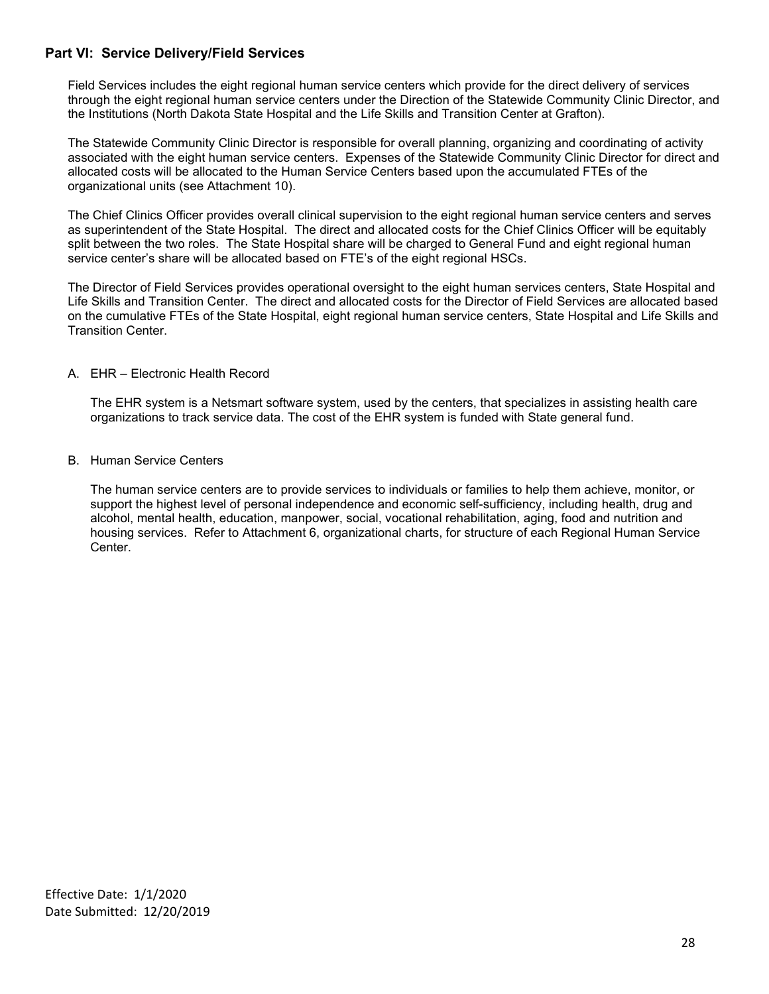# <span id="page-27-0"></span>**Part VI: Service Delivery/Field Services**

Field Services includes the eight regional human service centers which provide for the direct delivery of services through the eight regional human service centers under the Direction of the Statewide Community Clinic Director, and the Institutions (North Dakota State Hospital and the Life Skills and Transition Center at Grafton).

The Statewide Community Clinic Director is responsible for overall planning, organizing and coordinating of activity associated with the eight human service centers. Expenses of the Statewide Community Clinic Director for direct and allocated costs will be allocated to the Human Service Centers based upon the accumulated FTEs of the organizational units (see Attachment 10).

The Chief Clinics Officer provides overall clinical supervision to the eight regional human service centers and serves as superintendent of the State Hospital. The direct and allocated costs for the Chief Clinics Officer will be equitably split between the two roles. The State Hospital share will be charged to General Fund and eight regional human service center's share will be allocated based on FTE's of the eight regional HSCs.

The Director of Field Services provides operational oversight to the eight human services centers, State Hospital and Life Skills and Transition Center. The direct and allocated costs for the Director of Field Services are allocated based on the cumulative FTEs of the State Hospital, eight regional human service centers, State Hospital and Life Skills and Transition Center.

## A. EHR – Electronic Health Record

The EHR system is a Netsmart software system, used by the centers, that specializes in assisting health care organizations to track service data. The cost of the EHR system is funded with State general fund.

## B. Human Service Centers

The human service centers are to provide services to individuals or families to help them achieve, monitor, or support the highest level of personal independence and economic self-sufficiency, including health, drug and alcohol, mental health, education, manpower, social, vocational rehabilitation, aging, food and nutrition and housing services. Refer to Attachment 6, organizational charts, for structure of each Regional Human Service Center.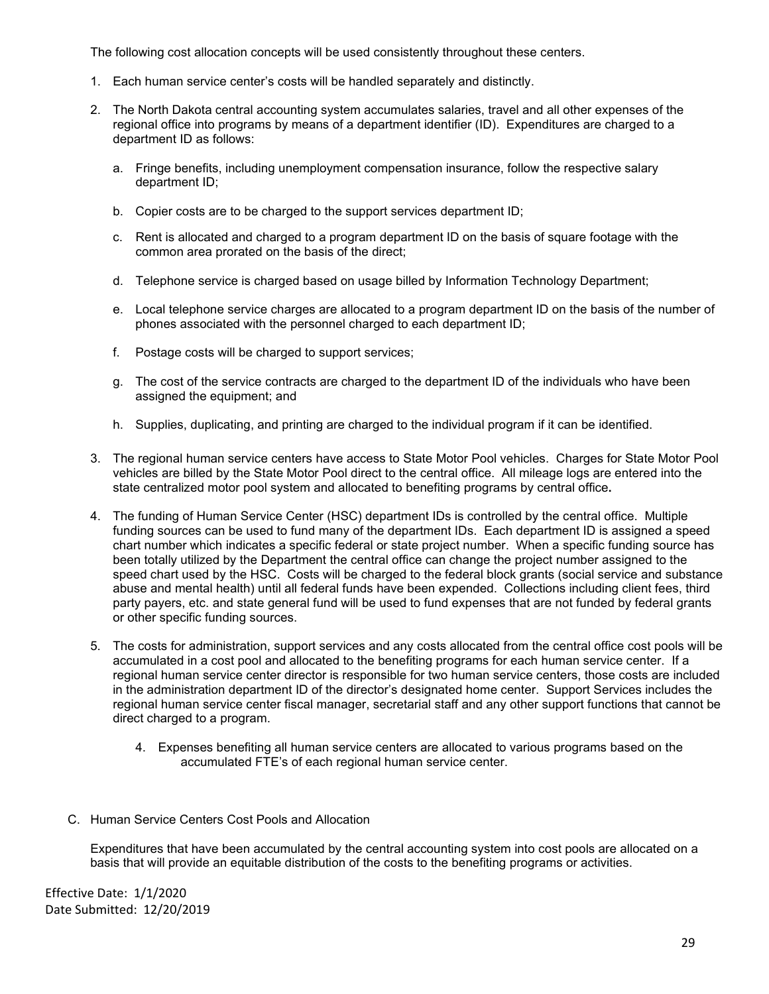The following cost allocation concepts will be used consistently throughout these centers.

- 1. Each human service center's costs will be handled separately and distinctly.
- 2. The North Dakota central accounting system accumulates salaries, travel and all other expenses of the regional office into programs by means of a department identifier (ID). Expenditures are charged to a department ID as follows:
	- a. Fringe benefits, including unemployment compensation insurance, follow the respective salary department ID;
	- b. Copier costs are to be charged to the support services department ID;
	- c. Rent is allocated and charged to a program department ID on the basis of square footage with the common area prorated on the basis of the direct;
	- d. Telephone service is charged based on usage billed by Information Technology Department;
	- e. Local telephone service charges are allocated to a program department ID on the basis of the number of phones associated with the personnel charged to each department ID;
	- f. Postage costs will be charged to support services;
	- g. The cost of the service contracts are charged to the department ID of the individuals who have been assigned the equipment; and
	- h. Supplies, duplicating, and printing are charged to the individual program if it can be identified.
- 3. The regional human service centers have access to State Motor Pool vehicles. Charges for State Motor Pool vehicles are billed by the State Motor Pool direct to the central office. All mileage logs are entered into the state centralized motor pool system and allocated to benefiting programs by central office**.**
- 4. The funding of Human Service Center (HSC) department IDs is controlled by the central office. Multiple funding sources can be used to fund many of the department IDs. Each department ID is assigned a speed chart number which indicates a specific federal or state project number. When a specific funding source has been totally utilized by the Department the central office can change the project number assigned to the speed chart used by the HSC. Costs will be charged to the federal block grants (social service and substance abuse and mental health) until all federal funds have been expended. Collections including client fees, third party payers, etc. and state general fund will be used to fund expenses that are not funded by federal grants or other specific funding sources.
- 5. The costs for administration, support services and any costs allocated from the central office cost pools will be accumulated in a cost pool and allocated to the benefiting programs for each human service center. If a regional human service center director is responsible for two human service centers, those costs are included in the administration department ID of the director's designated home center. Support Services includes the regional human service center fiscal manager, secretarial staff and any other support functions that cannot be direct charged to a program.
	- 4. Expenses benefiting all human service centers are allocated to various programs based on the accumulated FTE's of each regional human service center.
- C. Human Service Centers Cost Pools and Allocation

 Expenditures that have been accumulated by the central accounting system into cost pools are allocated on a basis that will provide an equitable distribution of the costs to the benefiting programs or activities.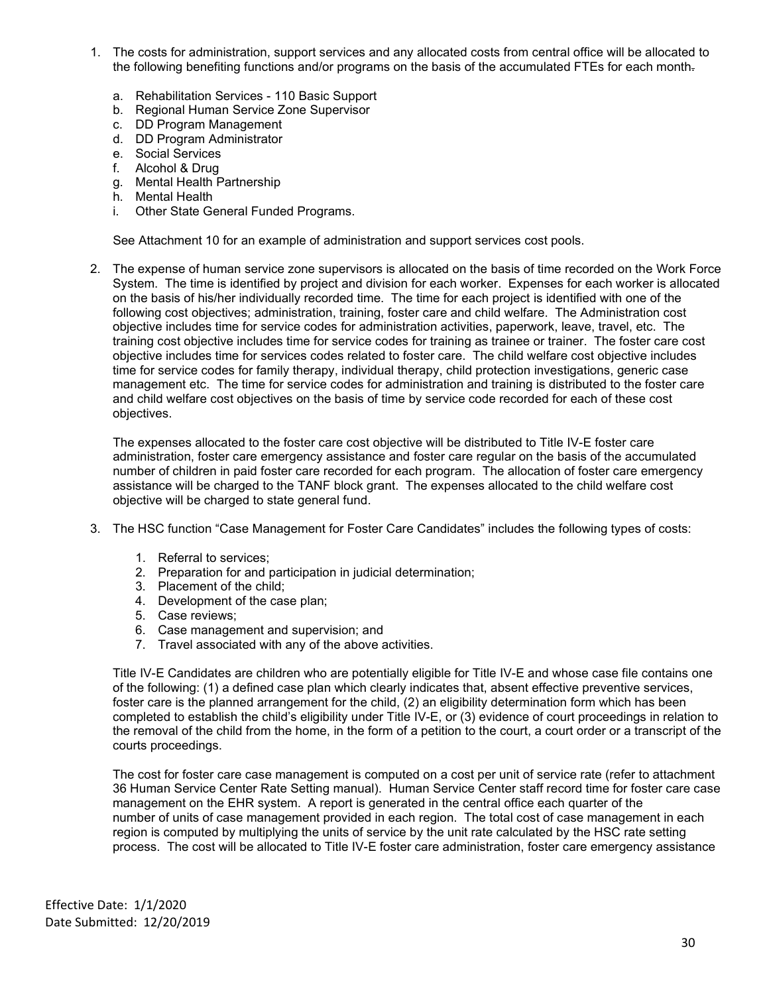- 1. The costs for administration, support services and any allocated costs from central office will be allocated to the following benefiting functions and/or programs on the basis of the accumulated FTEs for each month
	- a. Rehabilitation Services 110 Basic Support
	- b. Regional Human Service Zone Supervisor
	- c. DD Program Management
	- d. DD Program Administrator
	- e. Social Services
	- f. Alcohol & Drug
	- g. Mental Health Partnership
	- h. Mental Health
	- i. Other State General Funded Programs.

See Attachment 10 for an example of administration and support services cost pools.

2. The expense of human service zone supervisors is allocated on the basis of time recorded on the Work Force System. The time is identified by project and division for each worker. Expenses for each worker is allocated on the basis of his/her individually recorded time. The time for each project is identified with one of the following cost objectives; administration, training, foster care and child welfare. The Administration cost objective includes time for service codes for administration activities, paperwork, leave, travel, etc. The training cost objective includes time for service codes for training as trainee or trainer. The foster care cost objective includes time for services codes related to foster care. The child welfare cost objective includes time for service codes for family therapy, individual therapy, child protection investigations, generic case management etc. The time for service codes for administration and training is distributed to the foster care and child welfare cost objectives on the basis of time by service code recorded for each of these cost objectives.

The expenses allocated to the foster care cost objective will be distributed to Title IV-E foster care administration, foster care emergency assistance and foster care regular on the basis of the accumulated number of children in paid foster care recorded for each program. The allocation of foster care emergency assistance will be charged to the TANF block grant. The expenses allocated to the child welfare cost objective will be charged to state general fund.

- 3. The HSC function "Case Management for Foster Care Candidates" includes the following types of costs:
	- 1. Referral to services;
	- 2. Preparation for and participation in judicial determination;
	- 3. Placement of the child;
	- 4. Development of the case plan;
	- 5. Case reviews;
	- 6. Case management and supervision; and
	- 7. Travel associated with any of the above activities.

Title IV-E Candidates are children who are potentially eligible for Title IV-E and whose case file contains one of the following: (1) a defined case plan which clearly indicates that, absent effective preventive services, foster care is the planned arrangement for the child, (2) an eligibility determination form which has been completed to establish the child's eligibility under Title IV-E, or (3) evidence of court proceedings in relation to the removal of the child from the home, in the form of a petition to the court, a court order or a transcript of the courts proceedings.

The cost for foster care case management is computed on a cost per unit of service rate (refer to attachment 36 Human Service Center Rate Setting manual). Human Service Center staff record time for foster care case management on the EHR system. A report is generated in the central office each quarter of the number of units of case management provided in each region. The total cost of case management in each region is computed by multiplying the units of service by the unit rate calculated by the HSC rate setting process. The cost will be allocated to Title IV-E foster care administration, foster care emergency assistance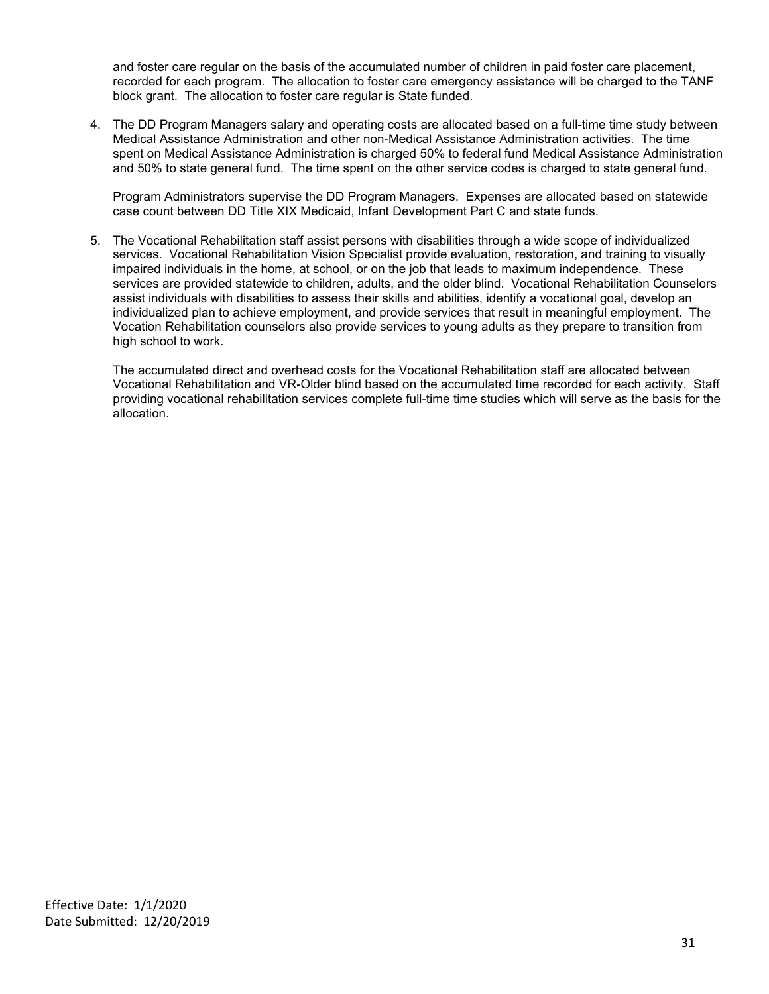and foster care regular on the basis of the accumulated number of children in paid foster care placement, recorded for each program. The allocation to foster care emergency assistance will be charged to the TANF block grant. The allocation to foster care regular is State funded.

4. The DD Program Managers salary and operating costs are allocated based on a full-time time study between Medical Assistance Administration and other non-Medical Assistance Administration activities. The time spent on Medical Assistance Administration is charged 50% to federal fund Medical Assistance Administration and 50% to state general fund. The time spent on the other service codes is charged to state general fund.

Program Administrators supervise the DD Program Managers. Expenses are allocated based on statewide case count between DD Title XIX Medicaid, Infant Development Part C and state funds.

5. The Vocational Rehabilitation staff assist persons with disabilities through a wide scope of individualized services. Vocational Rehabilitation Vision Specialist provide evaluation, restoration, and training to visually impaired individuals in the home, at school, or on the job that leads to maximum independence. These services are provided statewide to children, adults, and the older blind. Vocational Rehabilitation Counselors assist individuals with disabilities to assess their skills and abilities, identify a vocational goal, develop an individualized plan to achieve employment, and provide services that result in meaningful employment. The Vocation Rehabilitation counselors also provide services to young adults as they prepare to transition from high school to work.

The accumulated direct and overhead costs for the Vocational Rehabilitation staff are allocated between Vocational Rehabilitation and VR-Older blind based on the accumulated time recorded for each activity. Staff providing vocational rehabilitation services complete full-time time studies which will serve as the basis for the allocation.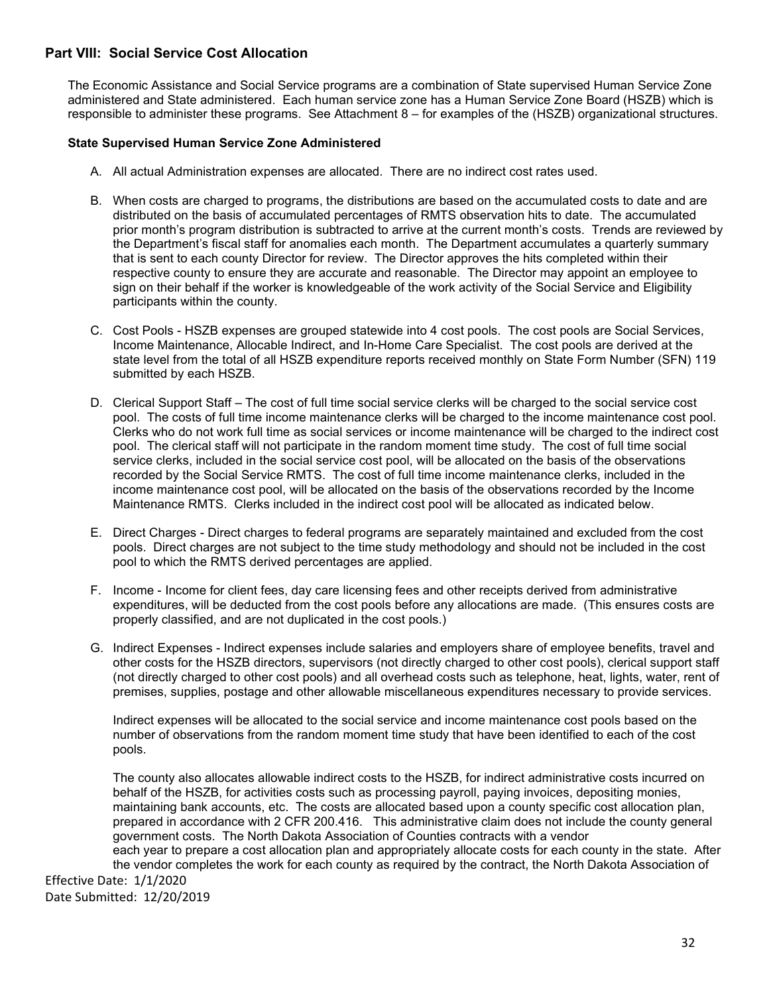# <span id="page-31-0"></span>**Part VIII: Social Service Cost Allocation**

The Economic Assistance and Social Service programs are a combination of State supervised Human Service Zone administered and State administered. Each human service zone has a Human Service Zone Board (HSZB) which is responsible to administer these programs. See Attachment 8 – for examples of the (HSZB) organizational structures.

## **State Supervised Human Service Zone Administered**

- A. All actual Administration expenses are allocated. There are no indirect cost rates used.
- B. When costs are charged to programs, the distributions are based on the accumulated costs to date and are distributed on the basis of accumulated percentages of RMTS observation hits to date. The accumulated prior month's program distribution is subtracted to arrive at the current month's costs. Trends are reviewed by the Department's fiscal staff for anomalies each month. The Department accumulates a quarterly summary that is sent to each county Director for review. The Director approves the hits completed within their respective county to ensure they are accurate and reasonable. The Director may appoint an employee to sign on their behalf if the worker is knowledgeable of the work activity of the Social Service and Eligibility participants within the county.
- C. Cost Pools HSZB expenses are grouped statewide into 4 cost pools. The cost pools are Social Services, Income Maintenance, Allocable Indirect, and In-Home Care Specialist. The cost pools are derived at the state level from the total of all HSZB expenditure reports received monthly on State Form Number (SFN) 119 submitted by each HSZB.
- D. Clerical Support Staff The cost of full time social service clerks will be charged to the social service cost pool. The costs of full time income maintenance clerks will be charged to the income maintenance cost pool. Clerks who do not work full time as social services or income maintenance will be charged to the indirect cost pool. The clerical staff will not participate in the random moment time study. The cost of full time social service clerks, included in the social service cost pool, will be allocated on the basis of the observations recorded by the Social Service RMTS. The cost of full time income maintenance clerks, included in the income maintenance cost pool, will be allocated on the basis of the observations recorded by the Income Maintenance RMTS. Clerks included in the indirect cost pool will be allocated as indicated below.
- E. Direct Charges Direct charges to federal programs are separately maintained and excluded from the cost pools. Direct charges are not subject to the time study methodology and should not be included in the cost pool to which the RMTS derived percentages are applied.
- F. Income Income for client fees, day care licensing fees and other receipts derived from administrative expenditures, will be deducted from the cost pools before any allocations are made. (This ensures costs are properly classified, and are not duplicated in the cost pools.)
- G. Indirect Expenses Indirect expenses include salaries and employers share of employee benefits, travel and other costs for the HSZB directors, supervisors (not directly charged to other cost pools), clerical support staff (not directly charged to other cost pools) and all overhead costs such as telephone, heat, lights, water, rent of premises, supplies, postage and other allowable miscellaneous expenditures necessary to provide services.

Indirect expenses will be allocated to the social service and income maintenance cost pools based on the number of observations from the random moment time study that have been identified to each of the cost pools.

The county also allocates allowable indirect costs to the HSZB, for indirect administrative costs incurred on behalf of the HSZB, for activities costs such as processing payroll, paying invoices, depositing monies, maintaining bank accounts, etc. The costs are allocated based upon a county specific cost allocation plan, prepared in accordance with 2 CFR 200.416. This administrative claim does not include the county general government costs. The North Dakota Association of Counties contracts with a vendor each year to prepare a cost allocation plan and appropriately allocate costs for each county in the state. After the vendor completes the work for each county as required by the contract, the North Dakota Association of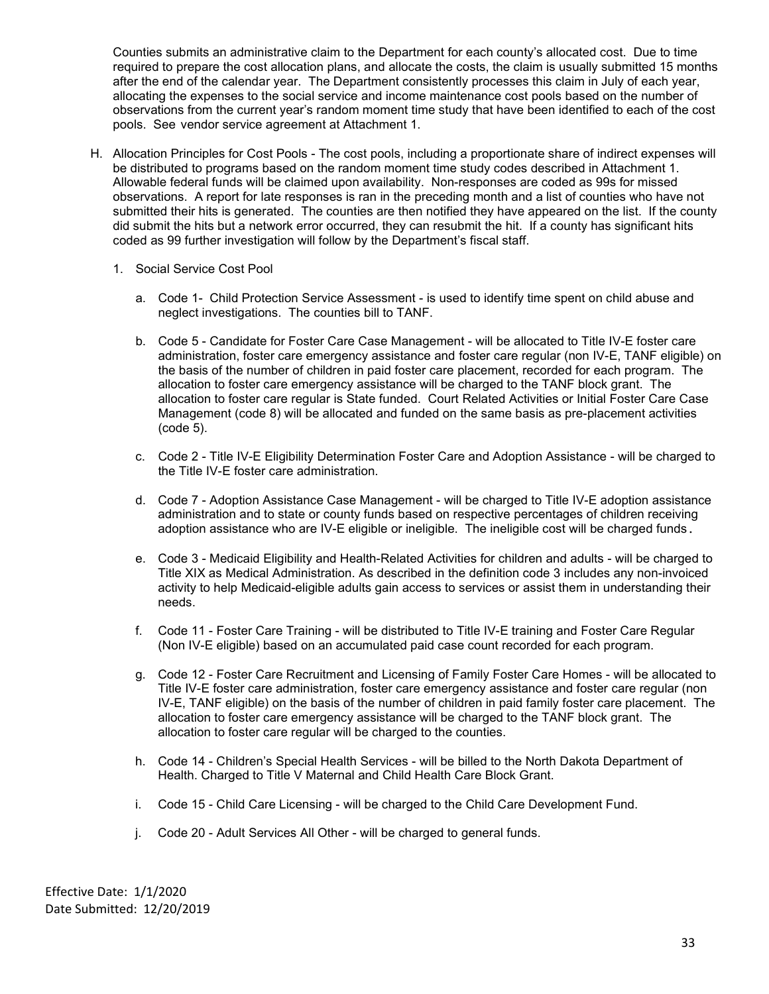Counties submits an administrative claim to the Department for each county's allocated cost. Due to time required to prepare the cost allocation plans, and allocate the costs, the claim is usually submitted 15 months after the end of the calendar year. The Department consistently processes this claim in July of each year, allocating the expenses to the social service and income maintenance cost pools based on the number of observations from the current year's random moment time study that have been identified to each of the cost pools. See vendor service agreement at Attachment 1.

- H. Allocation Principles for Cost Pools The cost pools, including a proportionate share of indirect expenses will be distributed to programs based on the random moment time study codes described in Attachment 1. Allowable federal funds will be claimed upon availability. Non-responses are coded as 99s for missed observations. A report for late responses is ran in the preceding month and a list of counties who have not submitted their hits is generated. The counties are then notified they have appeared on the list. If the county did submit the hits but a network error occurred, they can resubmit the hit. If a county has significant hits coded as 99 further investigation will follow by the Department's fiscal staff.
	- 1. Social Service Cost Pool
		- a. Code 1- Child Protection Service Assessment is used to identify time spent on child abuse and neglect investigations. The counties bill to TANF.
		- b. Code 5 Candidate for Foster Care Case Management will be allocated to Title IV-E foster care administration, foster care emergency assistance and foster care regular (non IV-E, TANF eligible) on the basis of the number of children in paid foster care placement, recorded for each program. The allocation to foster care emergency assistance will be charged to the TANF block grant. The allocation to foster care regular is State funded. Court Related Activities or Initial Foster Care Case Management (code 8) will be allocated and funded on the same basis as pre-placement activities (code 5).
		- c. Code 2 Title IV-E Eligibility Determination Foster Care and Adoption Assistance will be charged to the Title IV-E foster care administration.
		- d. Code 7 Adoption Assistance Case Management will be charged to Title IV-E adoption assistance administration and to state or county funds based on respective percentages of children receiving adoption assistance who are IV-E eligible or ineligible. The ineligible cost will be charged funds.
		- e. Code 3 Medicaid Eligibility and Health-Related Activities for children and adults will be charged to Title XIX as Medical Administration. As described in the definition code 3 includes any non-invoiced activity to help Medicaid-eligible adults gain access to services or assist them in understanding their needs.
		- f. Code 11 Foster Care Training will be distributed to Title IV-E training and Foster Care Regular (Non IV-E eligible) based on an accumulated paid case count recorded for each program.
		- g. Code 12 Foster Care Recruitment and Licensing of Family Foster Care Homes will be allocated to Title IV-E foster care administration, foster care emergency assistance and foster care regular (non IV-E, TANF eligible) on the basis of the number of children in paid family foster care placement. The allocation to foster care emergency assistance will be charged to the TANF block grant. The allocation to foster care regular will be charged to the counties.
		- h. Code 14 Children's Special Health Services will be billed to the North Dakota Department of Health. Charged to Title V Maternal and Child Health Care Block Grant.
		- i. Code 15 Child Care Licensing will be charged to the Child Care Development Fund.
		- j. Code 20 Adult Services All Other will be charged to general funds.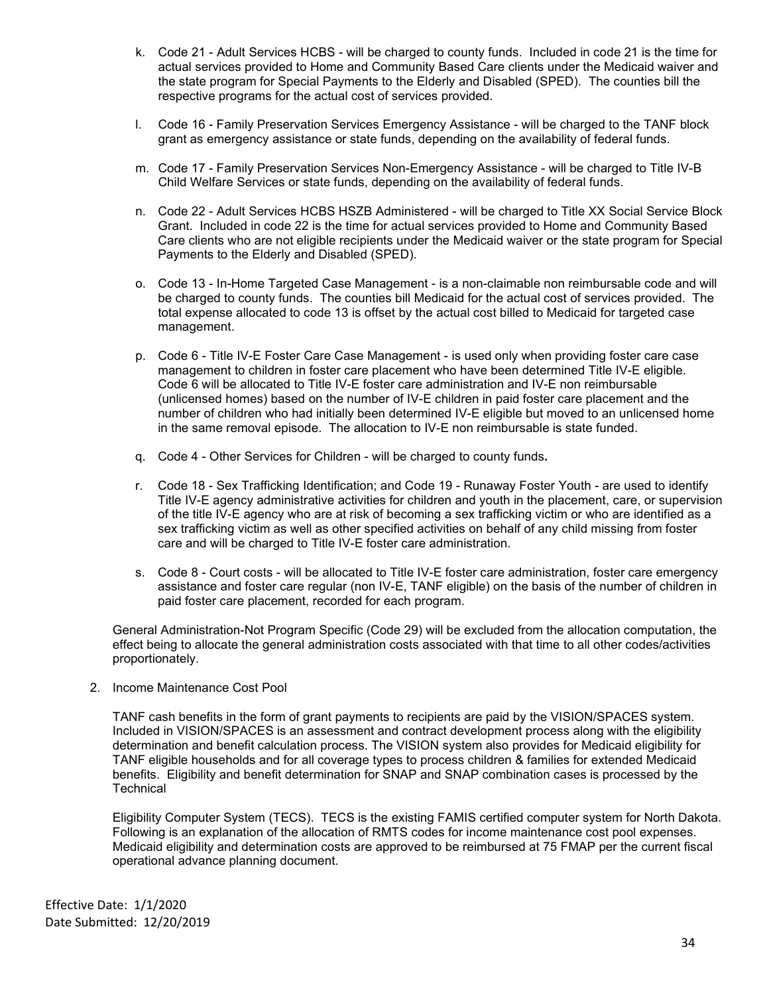- k. Code 21 Adult Services HCBS will be charged to county funds. Included in code 21 is the time for actual services provided to Home and Community Based Care clients under the Medicaid waiver and the state program for Special Payments to the Elderly and Disabled (SPED). The counties bill the respective programs for the actual cost of services provided.
- l. Code 16 Family Preservation Services Emergency Assistance will be charged to the TANF block grant as emergency assistance or state funds, depending on the availability of federal funds.
- m. Code 17 Family Preservation Services Non-Emergency Assistance will be charged to Title IV-B Child Welfare Services or state funds, depending on the availability of federal funds.
- n. Code 22 Adult Services HCBS HSZB Administered will be charged to Title XX Social Service Block Grant. Included in code 22 is the time for actual services provided to Home and Community Based Care clients who are not eligible recipients under the Medicaid waiver or the state program for Special Payments to the Elderly and Disabled (SPED).
- o. Code 13 In-Home Targeted Case Management is a non-claimable non reimbursable code and will be charged to county funds. The counties bill Medicaid for the actual cost of services provided. The total expense allocated to code 13 is offset by the actual cost billed to Medicaid for targeted case management.
- p. Code 6 Title IV-E Foster Care Case Management is used only when providing foster care case management to children in foster care placement who have been determined Title IV-E eligible. Code 6 will be allocated to Title IV-E foster care administration and IV-E non reimbursable (unlicensed homes) based on the number of IV-E children in paid foster care placement and the number of children who had initially been determined IV-E eligible but moved to an unlicensed home in the same removal episode. The allocation to IV-E non reimbursable is state funded.
- q. Code 4 Other Services for Children will be charged to county funds**.**
- r. Code 18 Sex Trafficking Identification; and Code 19 Runaway Foster Youth are used to identify Title IV-E agency administrative activities for children and youth in the placement, care, or supervision of the title IV-E agency who are at risk of becoming a sex trafficking victim or who are identified as a sex trafficking victim as well as other specified activities on behalf of any child missing from foster care and will be charged to Title IV-E foster care administration.
- s. Code 8 Court costs will be allocated to Title IV-E foster care administration, foster care emergency assistance and foster care regular (non IV-E, TANF eligible) on the basis of the number of children in paid foster care placement, recorded for each program.

General Administration-Not Program Specific (Code 29) will be excluded from the allocation computation, the effect being to allocate the general administration costs associated with that time to all other codes/activities proportionately.

2. Income Maintenance Cost Pool

TANF cash benefits in the form of grant payments to recipients are paid by the VISION/SPACES system. Included in VISION/SPACES is an assessment and contract development process along with the eligibility determination and benefit calculation process. The VISION system also provides for Medicaid eligibility for TANF eligible households and for all coverage types to process children & families for extended Medicaid benefits. Eligibility and benefit determination for SNAP and SNAP combination cases is processed by the **Technical** 

Eligibility Computer System (TECS). TECS is the existing FAMIS certified computer system for North Dakota. Following is an explanation of the allocation of RMTS codes for income maintenance cost pool expenses. Medicaid eligibility and determination costs are approved to be reimbursed at 75 FMAP per the current fiscal operational advance planning document.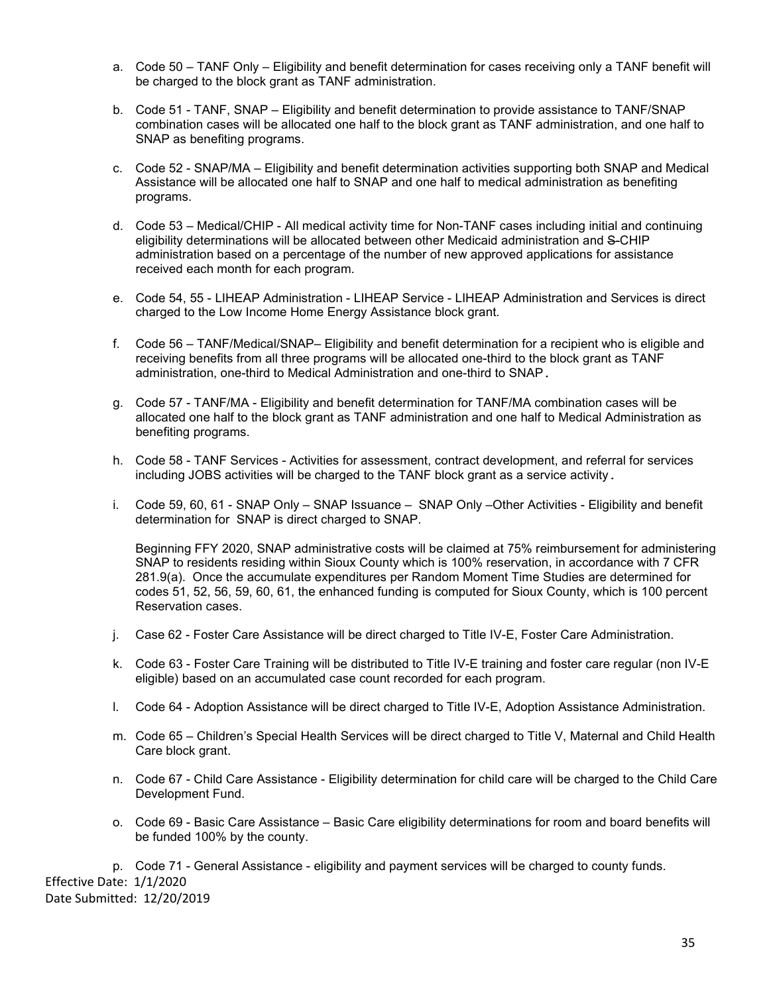- a. Code 50 TANF Only Eligibility and benefit determination for cases receiving only a TANF benefit will be charged to the block grant as TANF administration.
- b. Code 51 TANF, SNAP Eligibility and benefit determination to provide assistance to TANF/SNAP combination cases will be allocated one half to the block grant as TANF administration, and one half to SNAP as benefiting programs.
- c. Code 52 SNAP/MA Eligibility and benefit determination activities supporting both SNAP and Medical Assistance will be allocated one half to SNAP and one half to medical administration as benefiting programs.
- d. Code 53 Medical/CHIP All medical activity time for Non-TANF cases including initial and continuing eligibility determinations will be allocated between other Medicaid administration and S-CHIP administration based on a percentage of the number of new approved applications for assistance received each month for each program.
- e. Code 54, 55 LIHEAP Administration LIHEAP Service LIHEAP Administration and Services is direct charged to the Low Income Home Energy Assistance block grant.
- f. Code 56 TANF/Medical/SNAP– Eligibility and benefit determination for a recipient who is eligible and receiving benefits from all three programs will be allocated one-third to the block grant as TANF administration, one-third to Medical Administration and one-third to SNAP.
- g. Code 57 TANF/MA Eligibility and benefit determination for TANF/MA combination cases will be allocated one half to the block grant as TANF administration and one half to Medical Administration as benefiting programs.
- h. Code 58 TANF Services Activities for assessment, contract development, and referral for services including JOBS activities will be charged to the TANF block grant as a service activity.
- i. Code 59, 60, 61 SNAP Only SNAP Issuance SNAP Only –Other Activities Eligibility and benefit determination for SNAP is direct charged to SNAP.

Beginning FFY 2020, SNAP administrative costs will be claimed at 75% reimbursement for administering SNAP to residents residing within Sioux County which is 100% reservation, in accordance with 7 CFR 281.9(a). Once the accumulate expenditures per Random Moment Time Studies are determined for codes 51, 52, 56, 59, 60, 61, the enhanced funding is computed for Sioux County, which is 100 percent Reservation cases.

- j. Case 62 Foster Care Assistance will be direct charged to Title IV-E, Foster Care Administration.
- k. Code 63 Foster Care Training will be distributed to Title IV-E training and foster care regular (non IV-E eligible) based on an accumulated case count recorded for each program.
- l. Code 64 Adoption Assistance will be direct charged to Title IV-E, Adoption Assistance Administration.
- m. Code 65 Children's Special Health Services will be direct charged to Title V, Maternal and Child Health Care block grant.
- n. Code 67 Child Care Assistance Eligibility determination for child care will be charged to the Child Care Development Fund.
- o. Code 69 Basic Care Assistance Basic Care eligibility determinations for room and board benefits will be funded 100% by the county.

p. Code 71 - General Assistance - eligibility and payment services will be charged to county funds. Effective Date: 1/1/2020 Date Submitted: 12/20/2019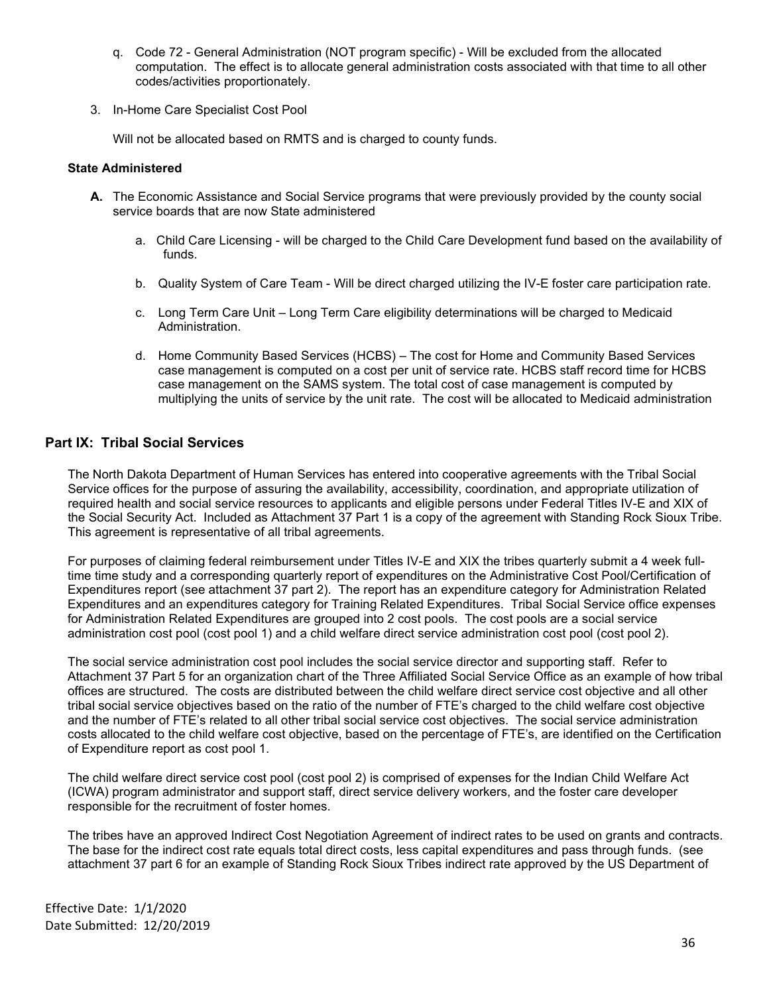- q. Code 72 General Administration (NOT program specific) Will be excluded from the allocated computation. The effect is to allocate general administration costs associated with that time to all other codes/activities proportionately.
- 3. In-Home Care Specialist Cost Pool

Will not be allocated based on RMTS and is charged to county funds.

## **State Administered**

- **A.** The Economic Assistance and Social Service programs that were previously provided by the county social service boards that are now State administered
	- a. Child Care Licensing will be charged to the Child Care Development fund based on the availability of funds.
	- b. Quality System of Care Team Will be direct charged utilizing the IV-E foster care participation rate.
	- c. Long Term Care Unit Long Term Care eligibility determinations will be charged to Medicaid Administration.
	- d. Home Community Based Services (HCBS) The cost for Home and Community Based Services case management is computed on a cost per unit of service rate. HCBS staff record time for HCBS case management on the SAMS system. The total cost of case management is computed by multiplying the units of service by the unit rate. The cost will be allocated to Medicaid administration

# <span id="page-35-0"></span>**Part IX: Tribal Social Services**

The North Dakota Department of Human Services has entered into cooperative agreements with the Tribal Social Service offices for the purpose of assuring the availability, accessibility, coordination, and appropriate utilization of required health and social service resources to applicants and eligible persons under Federal Titles IV-E and XIX of the Social Security Act. Included as Attachment 37 Part 1 is a copy of the agreement with Standing Rock Sioux Tribe. This agreement is representative of all tribal agreements.

For purposes of claiming federal reimbursement under Titles IV-E and XIX the tribes quarterly submit a 4 week fulltime time study and a corresponding quarterly report of expenditures on the Administrative Cost Pool/Certification of Expenditures report (see attachment 37 part 2). The report has an expenditure category for Administration Related Expenditures and an expenditures category for Training Related Expenditures. Tribal Social Service office expenses for Administration Related Expenditures are grouped into 2 cost pools. The cost pools are a social service administration cost pool (cost pool 1) and a child welfare direct service administration cost pool (cost pool 2).

The social service administration cost pool includes the social service director and supporting staff. Refer to Attachment 37 Part 5 for an organization chart of the Three Affiliated Social Service Office as an example of how tribal offices are structured. The costs are distributed between the child welfare direct service cost objective and all other tribal social service objectives based on the ratio of the number of FTE's charged to the child welfare cost objective and the number of FTE's related to all other tribal social service cost objectives. The social service administration costs allocated to the child welfare cost objective, based on the percentage of FTE's, are identified on the Certification of Expenditure report as cost pool 1.

The child welfare direct service cost pool (cost pool 2) is comprised of expenses for the Indian Child Welfare Act (ICWA) program administrator and support staff, direct service delivery workers, and the foster care developer responsible for the recruitment of foster homes.

The tribes have an approved Indirect Cost Negotiation Agreement of indirect rates to be used on grants and contracts. The base for the indirect cost rate equals total direct costs, less capital expenditures and pass through funds. (see attachment 37 part 6 for an example of Standing Rock Sioux Tribes indirect rate approved by the US Department of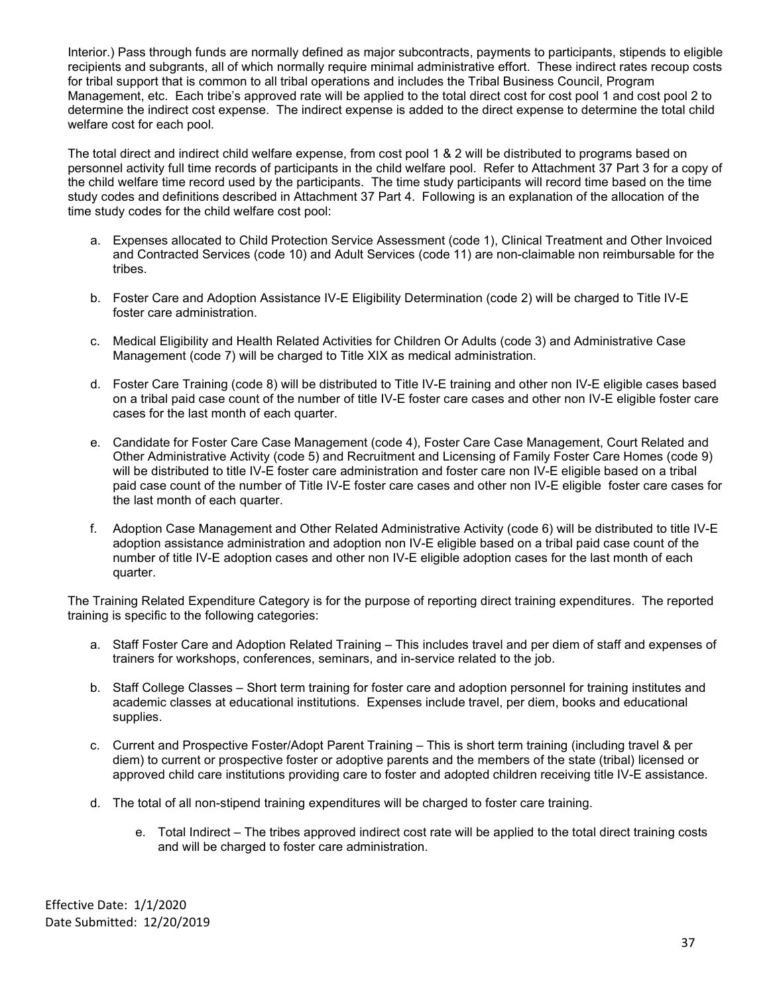Interior.) Pass through funds are normally defined as major subcontracts, payments to participants, stipends to eligible recipients and subgrants, all of which normally require minimal administrative effort. These indirect rates recoup costs for tribal support that is common to all tribal operations and includes the Tribal Business Council, Program Management, etc. Each tribe's approved rate will be applied to the total direct cost for cost pool 1 and cost pool 2 to determine the indirect cost expense. The indirect expense is added to the direct expense to determine the total child welfare cost for each pool.

The total direct and indirect child welfare expense, from cost pool 1 & 2 will be distributed to programs based on personnel activity full time records of participants in the child welfare pool. Refer to Attachment 37 Part 3 for a copy of the child welfare time record used by the participants. The time study participants will record time based on the time study codes and definitions described in Attachment 37 Part 4. Following is an explanation of the allocation of the time study codes for the child welfare cost pool:

- a. Expenses allocated to Child Protection Service Assessment (code 1), Clinical Treatment and Other Invoiced and Contracted Services (code 10) and Adult Services (code 11) are non-claimable non reimbursable for the tribes.
- b. Foster Care and Adoption Assistance IV-E Eligibility Determination (code 2) will be charged to Title IV-E foster care administration.
- c. Medical Eligibility and Health Related Activities for Children Or Adults (code 3) and Administrative Case Management (code 7) will be charged to Title XIX as medical administration.
- d. Foster Care Training (code 8) will be distributed to Title IV-E training and other non IV-E eligible cases based on a tribal paid case count of the number of title IV-E foster care cases and other non IV-E eligible foster care cases for the last month of each quarter.
- e. Candidate for Foster Care Case Management (code 4), Foster Care Case Management, Court Related and Other Administrative Activity (code 5) and Recruitment and Licensing of Family Foster Care Homes (code 9) will be distributed to title IV-E foster care administration and foster care non IV-E eligible based on a tribal paid case count of the number of Title IV-E foster care cases and other non IV-E eligible foster care cases for the last month of each quarter.
- f. Adoption Case Management and Other Related Administrative Activity (code 6) will be distributed to title IV-E adoption assistance administration and adoption non IV-E eligible based on a tribal paid case count of the number of title IV-E adoption cases and other non IV-E eligible adoption cases for the last month of each quarter.

The Training Related Expenditure Category is for the purpose of reporting direct training expenditures. The reported training is specific to the following categories:

- a. Staff Foster Care and Adoption Related Training This includes travel and per diem of staff and expenses of trainers for workshops, conferences, seminars, and in-service related to the job.
- b. Staff College Classes Short term training for foster care and adoption personnel for training institutes and academic classes at educational institutions. Expenses include travel, per diem, books and educational supplies.
- c. Current and Prospective Foster/Adopt Parent Training This is short term training (including travel & per diem) to current or prospective foster or adoptive parents and the members of the state (tribal) licensed or approved child care institutions providing care to foster and adopted children receiving title IV-E assistance.
- d. The total of all non-stipend training expenditures will be charged to foster care training.
	- e. Total Indirect The tribes approved indirect cost rate will be applied to the total direct training costs and will be charged to foster care administration.